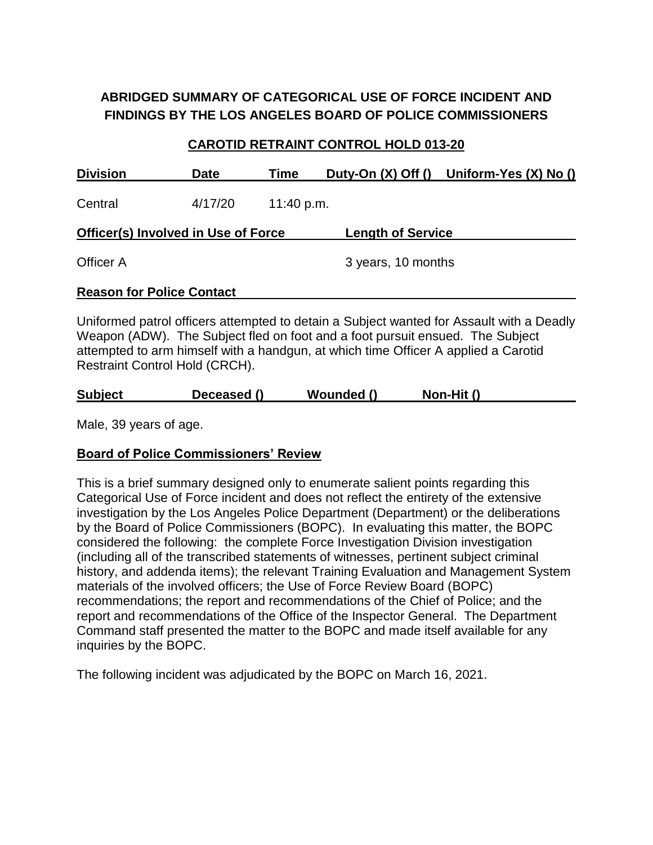# **ABRIDGED SUMMARY OF CATEGORICAL USE OF FORCE INCIDENT AND FINDINGS BY THE LOS ANGELES BOARD OF POLICE COMMISSIONERS**

## **CAROTID RETRAINT CONTROL HOLD 013-20**

| <b>Date</b> | Time                             |                                            | Duty-On (X) Off () Uniform-Yes (X) No () |
|-------------|----------------------------------|--------------------------------------------|------------------------------------------|
| 4/17/20     |                                  |                                            |                                          |
|             |                                  | <b>Length of Service</b>                   |                                          |
|             |                                  | 3 years, 10 months                         |                                          |
|             |                                  |                                            |                                          |
|             | <b>Reason for Police Contact</b> | <b>Officer(s) Involved in Use of Force</b> | 11:40 p.m.                               |

Uniformed patrol officers attempted to detain a Subject wanted for Assault with a Deadly Weapon (ADW). The Subject fled on foot and a foot pursuit ensued. The Subject attempted to arm himself with a handgun, at which time Officer A applied a Carotid Restraint Control Hold (CRCH).

| <b>Subject</b> |  | Deceased () | Wounded () | Non-Hit () |
|----------------|--|-------------|------------|------------|
|----------------|--|-------------|------------|------------|

Male, 39 years of age.

## **Board of Police Commissioners' Review**

This is a brief summary designed only to enumerate salient points regarding this Categorical Use of Force incident and does not reflect the entirety of the extensive investigation by the Los Angeles Police Department (Department) or the deliberations by the Board of Police Commissioners (BOPC). In evaluating this matter, the BOPC considered the following: the complete Force Investigation Division investigation (including all of the transcribed statements of witnesses, pertinent subject criminal history, and addenda items); the relevant Training Evaluation and Management System materials of the involved officers; the Use of Force Review Board (BOPC) recommendations; the report and recommendations of the Chief of Police; and the report and recommendations of the Office of the Inspector General. The Department Command staff presented the matter to the BOPC and made itself available for any inquiries by the BOPC.

The following incident was adjudicated by the BOPC on March 16, 2021.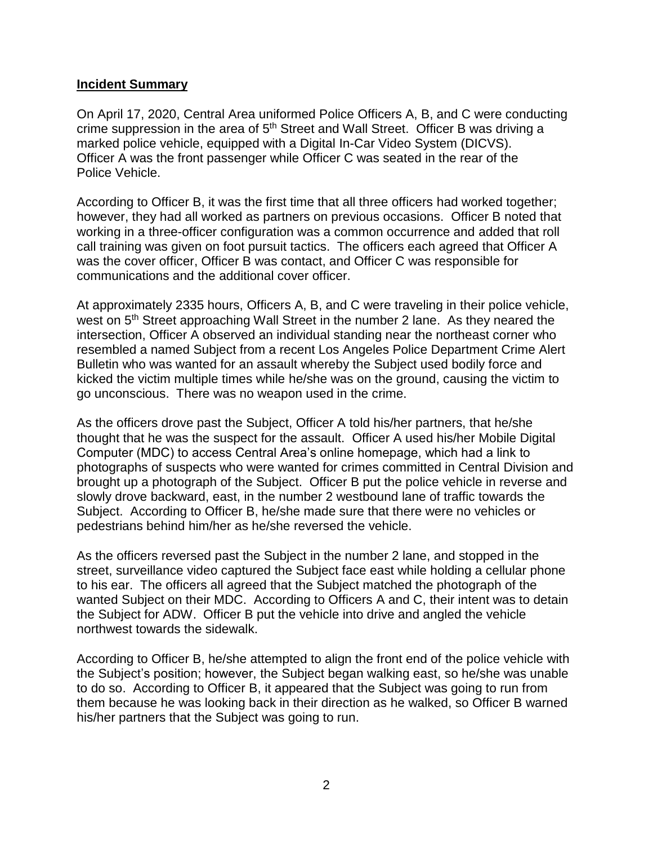#### **Incident Summary**

On April 17, 2020, Central Area uniformed Police Officers A, B, and C were conducting crime suppression in the area of 5<sup>th</sup> Street and Wall Street. Officer B was driving a marked police vehicle, equipped with a Digital In-Car Video System (DICVS). Officer A was the front passenger while Officer C was seated in the rear of the Police Vehicle.

According to Officer B, it was the first time that all three officers had worked together; however, they had all worked as partners on previous occasions. Officer B noted that working in a three-officer configuration was a common occurrence and added that roll call training was given on foot pursuit tactics. The officers each agreed that Officer A was the cover officer, Officer B was contact, and Officer C was responsible for communications and the additional cover officer.

At approximately 2335 hours, Officers A, B, and C were traveling in their police vehicle, west on 5<sup>th</sup> Street approaching Wall Street in the number 2 lane. As they neared the intersection, Officer A observed an individual standing near the northeast corner who resembled a named Subject from a recent Los Angeles Police Department Crime Alert Bulletin who was wanted for an assault whereby the Subject used bodily force and kicked the victim multiple times while he/she was on the ground, causing the victim to go unconscious. There was no weapon used in the crime.

As the officers drove past the Subject, Officer A told his/her partners, that he/she thought that he was the suspect for the assault. Officer A used his/her Mobile Digital Computer (MDC) to access Central Area's online homepage, which had a link to photographs of suspects who were wanted for crimes committed in Central Division and brought up a photograph of the Subject. Officer B put the police vehicle in reverse and slowly drove backward, east, in the number 2 westbound lane of traffic towards the Subject. According to Officer B, he/she made sure that there were no vehicles or pedestrians behind him/her as he/she reversed the vehicle.

As the officers reversed past the Subject in the number 2 lane, and stopped in the street, surveillance video captured the Subject face east while holding a cellular phone to his ear. The officers all agreed that the Subject matched the photograph of the wanted Subject on their MDC. According to Officers A and C, their intent was to detain the Subject for ADW. Officer B put the vehicle into drive and angled the vehicle northwest towards the sidewalk.

According to Officer B, he/she attempted to align the front end of the police vehicle with the Subject's position; however, the Subject began walking east, so he/she was unable to do so. According to Officer B, it appeared that the Subject was going to run from them because he was looking back in their direction as he walked, so Officer B warned his/her partners that the Subject was going to run.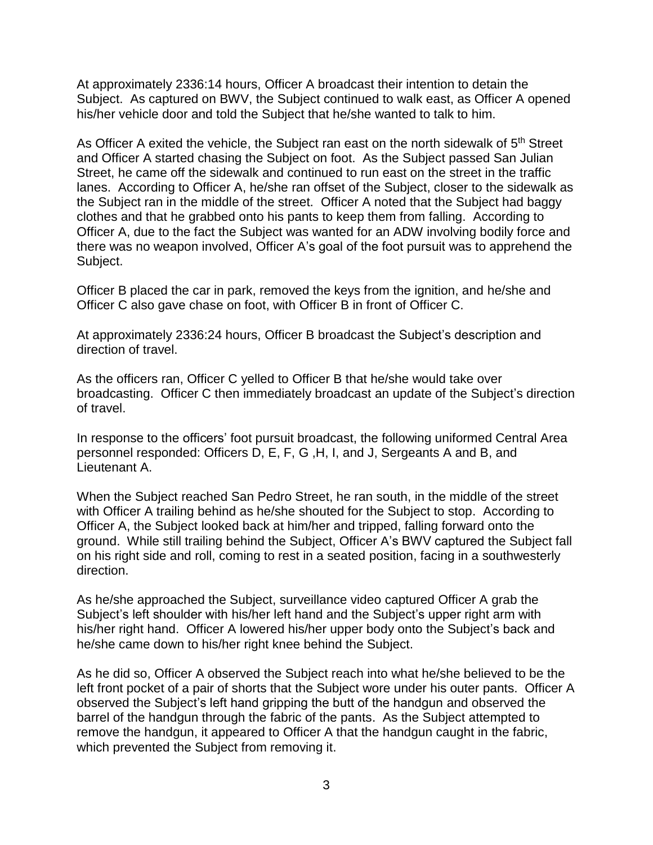At approximately 2336:14 hours, Officer A broadcast their intention to detain the Subject. As captured on BWV, the Subject continued to walk east, as Officer A opened his/her vehicle door and told the Subject that he/she wanted to talk to him.

As Officer A exited the vehicle, the Subject ran east on the north sidewalk of 5<sup>th</sup> Street and Officer A started chasing the Subject on foot. As the Subject passed San Julian Street, he came off the sidewalk and continued to run east on the street in the traffic lanes. According to Officer A, he/she ran offset of the Subject, closer to the sidewalk as the Subject ran in the middle of the street. Officer A noted that the Subject had baggy clothes and that he grabbed onto his pants to keep them from falling. According to Officer A, due to the fact the Subject was wanted for an ADW involving bodily force and there was no weapon involved, Officer A's goal of the foot pursuit was to apprehend the Subject.

Officer B placed the car in park, removed the keys from the ignition, and he/she and Officer C also gave chase on foot, with Officer B in front of Officer C.

At approximately 2336:24 hours, Officer B broadcast the Subject's description and direction of travel.

As the officers ran, Officer C yelled to Officer B that he/she would take over broadcasting. Officer C then immediately broadcast an update of the Subject's direction of travel.

In response to the officers' foot pursuit broadcast, the following uniformed Central Area personnel responded: Officers D, E, F, G ,H, I, and J, Sergeants A and B, and Lieutenant A.

When the Subject reached San Pedro Street, he ran south, in the middle of the street with Officer A trailing behind as he/she shouted for the Subject to stop. According to Officer A, the Subject looked back at him/her and tripped, falling forward onto the ground. While still trailing behind the Subject, Officer A's BWV captured the Subject fall on his right side and roll, coming to rest in a seated position, facing in a southwesterly direction.

As he/she approached the Subject, surveillance video captured Officer A grab the Subject's left shoulder with his/her left hand and the Subject's upper right arm with his/her right hand. Officer A lowered his/her upper body onto the Subject's back and he/she came down to his/her right knee behind the Subject.

As he did so, Officer A observed the Subject reach into what he/she believed to be the left front pocket of a pair of shorts that the Subject wore under his outer pants. Officer A observed the Subject's left hand gripping the butt of the handgun and observed the barrel of the handgun through the fabric of the pants. As the Subject attempted to remove the handgun, it appeared to Officer A that the handgun caught in the fabric, which prevented the Subject from removing it.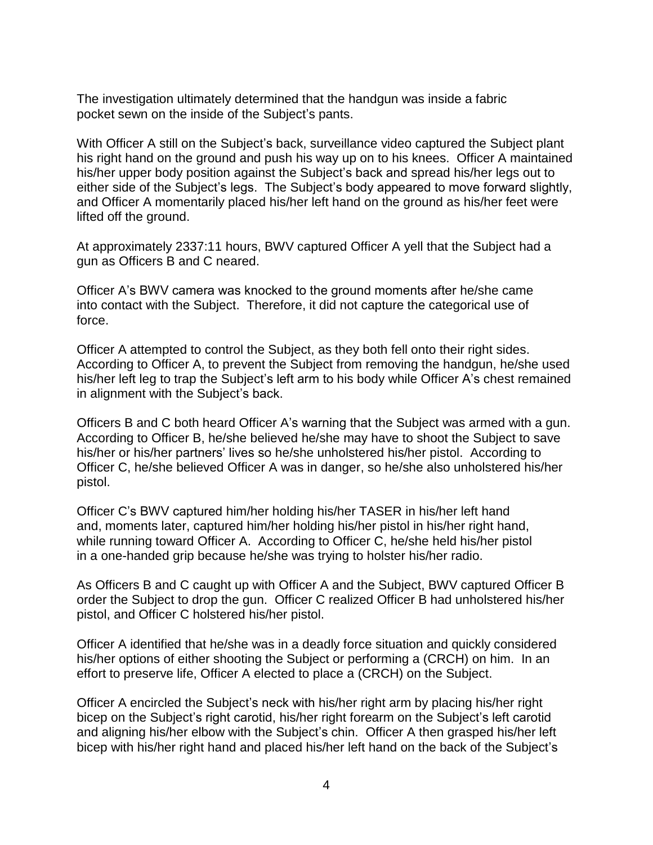The investigation ultimately determined that the handgun was inside a fabric pocket sewn on the inside of the Subject's pants.

With Officer A still on the Subject's back, surveillance video captured the Subject plant his right hand on the ground and push his way up on to his knees. Officer A maintained his/her upper body position against the Subject's back and spread his/her legs out to either side of the Subject's legs. The Subject's body appeared to move forward slightly, and Officer A momentarily placed his/her left hand on the ground as his/her feet were lifted off the ground.

At approximately 2337:11 hours, BWV captured Officer A yell that the Subject had a gun as Officers B and C neared.

Officer A's BWV camera was knocked to the ground moments after he/she came into contact with the Subject. Therefore, it did not capture the categorical use of force.

Officer A attempted to control the Subject, as they both fell onto their right sides. According to Officer A, to prevent the Subject from removing the handgun, he/she used his/her left leg to trap the Subject's left arm to his body while Officer A's chest remained in alignment with the Subject's back.

Officers B and C both heard Officer A's warning that the Subject was armed with a gun. According to Officer B, he/she believed he/she may have to shoot the Subject to save his/her or his/her partners' lives so he/she unholstered his/her pistol. According to Officer C, he/she believed Officer A was in danger, so he/she also unholstered his/her pistol.

Officer C's BWV captured him/her holding his/her TASER in his/her left hand and, moments later, captured him/her holding his/her pistol in his/her right hand, while running toward Officer A. According to Officer C, he/she held his/her pistol in a one-handed grip because he/she was trying to holster his/her radio.

As Officers B and C caught up with Officer A and the Subject, BWV captured Officer B order the Subject to drop the gun. Officer C realized Officer B had unholstered his/her pistol, and Officer C holstered his/her pistol.

Officer A identified that he/she was in a deadly force situation and quickly considered his/her options of either shooting the Subject or performing a (CRCH) on him. In an effort to preserve life, Officer A elected to place a (CRCH) on the Subject.

Officer A encircled the Subject's neck with his/her right arm by placing his/her right bicep on the Subject's right carotid, his/her right forearm on the Subject's left carotid and aligning his/her elbow with the Subject's chin. Officer A then grasped his/her left bicep with his/her right hand and placed his/her left hand on the back of the Subject's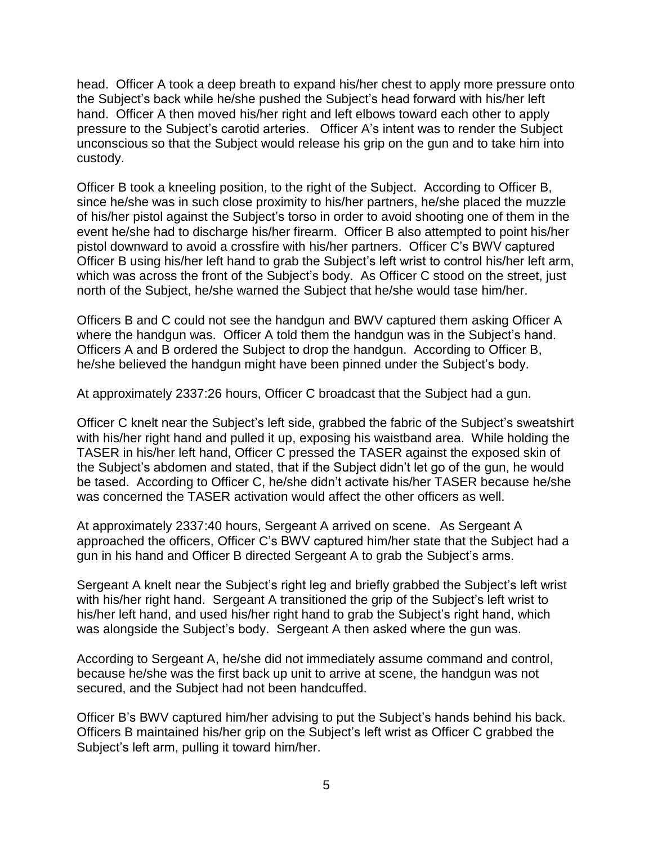head. Officer A took a deep breath to expand his/her chest to apply more pressure onto the Subject's back while he/she pushed the Subject's head forward with his/her left hand. Officer A then moved his/her right and left elbows toward each other to apply pressure to the Subject's carotid arteries. Officer A's intent was to render the Subject unconscious so that the Subject would release his grip on the gun and to take him into custody.

Officer B took a kneeling position, to the right of the Subject. According to Officer B, since he/she was in such close proximity to his/her partners, he/she placed the muzzle of his/her pistol against the Subject's torso in order to avoid shooting one of them in the event he/she had to discharge his/her firearm. Officer B also attempted to point his/her pistol downward to avoid a crossfire with his/her partners. Officer C's BWV captured Officer B using his/her left hand to grab the Subject's left wrist to control his/her left arm, which was across the front of the Subject's body. As Officer C stood on the street, just north of the Subject, he/she warned the Subject that he/she would tase him/her.

Officers B and C could not see the handgun and BWV captured them asking Officer A where the handgun was. Officer A told them the handgun was in the Subject's hand. Officers A and B ordered the Subject to drop the handgun. According to Officer B, he/she believed the handgun might have been pinned under the Subject's body.

At approximately 2337:26 hours, Officer C broadcast that the Subject had a gun.

Officer C knelt near the Subject's left side, grabbed the fabric of the Subject's sweatshirt with his/her right hand and pulled it up, exposing his waistband area. While holding the TASER in his/her left hand, Officer C pressed the TASER against the exposed skin of the Subject's abdomen and stated, that if the Subject didn't let go of the gun, he would be tased. According to Officer C, he/she didn't activate his/her TASER because he/she was concerned the TASER activation would affect the other officers as well.

At approximately 2337:40 hours, Sergeant A arrived on scene. As Sergeant A approached the officers, Officer C's BWV captured him/her state that the Subject had a gun in his hand and Officer B directed Sergeant A to grab the Subject's arms.

Sergeant A knelt near the Subject's right leg and briefly grabbed the Subject's left wrist with his/her right hand. Sergeant A transitioned the grip of the Subject's left wrist to his/her left hand, and used his/her right hand to grab the Subject's right hand, which was alongside the Subject's body. Sergeant A then asked where the gun was.

According to Sergeant A, he/she did not immediately assume command and control, because he/she was the first back up unit to arrive at scene, the handgun was not secured, and the Subject had not been handcuffed.

Officer B's BWV captured him/her advising to put the Subject's hands behind his back. Officers B maintained his/her grip on the Subject's left wrist as Officer C grabbed the Subject's left arm, pulling it toward him/her.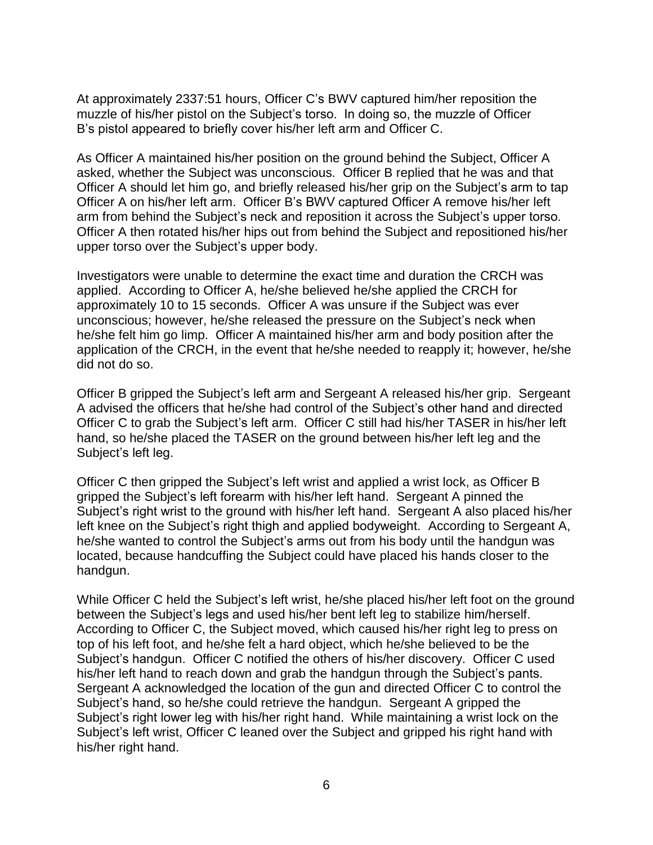At approximately 2337:51 hours, Officer C's BWV captured him/her reposition the muzzle of his/her pistol on the Subject's torso. In doing so, the muzzle of Officer B's pistol appeared to briefly cover his/her left arm and Officer C.

As Officer A maintained his/her position on the ground behind the Subject, Officer A asked, whether the Subject was unconscious. Officer B replied that he was and that Officer A should let him go, and briefly released his/her grip on the Subject's arm to tap Officer A on his/her left arm. Officer B's BWV captured Officer A remove his/her left arm from behind the Subject's neck and reposition it across the Subject's upper torso. Officer A then rotated his/her hips out from behind the Subject and repositioned his/her upper torso over the Subject's upper body.

Investigators were unable to determine the exact time and duration the CRCH was applied. According to Officer A, he/she believed he/she applied the CRCH for approximately 10 to 15 seconds. Officer A was unsure if the Subject was ever unconscious; however, he/she released the pressure on the Subject's neck when he/she felt him go limp. Officer A maintained his/her arm and body position after the application of the CRCH, in the event that he/she needed to reapply it; however, he/she did not do so.

Officer B gripped the Subject's left arm and Sergeant A released his/her grip. Sergeant A advised the officers that he/she had control of the Subject's other hand and directed Officer C to grab the Subject's left arm. Officer C still had his/her TASER in his/her left hand, so he/she placed the TASER on the ground between his/her left leg and the Subject's left leg.

Officer C then gripped the Subject's left wrist and applied a wrist lock, as Officer B gripped the Subject's left forearm with his/her left hand. Sergeant A pinned the Subject's right wrist to the ground with his/her left hand. Sergeant A also placed his/her left knee on the Subject's right thigh and applied bodyweight. According to Sergeant A, he/she wanted to control the Subject's arms out from his body until the handgun was located, because handcuffing the Subject could have placed his hands closer to the handgun.

While Officer C held the Subject's left wrist, he/she placed his/her left foot on the ground between the Subject's legs and used his/her bent left leg to stabilize him/herself. According to Officer C, the Subject moved, which caused his/her right leg to press on top of his left foot, and he/she felt a hard object, which he/she believed to be the Subject's handgun. Officer C notified the others of his/her discovery. Officer C used his/her left hand to reach down and grab the handgun through the Subject's pants. Sergeant A acknowledged the location of the gun and directed Officer C to control the Subject's hand, so he/she could retrieve the handgun. Sergeant A gripped the Subject's right lower leg with his/her right hand. While maintaining a wrist lock on the Subject's left wrist, Officer C leaned over the Subject and gripped his right hand with his/her right hand.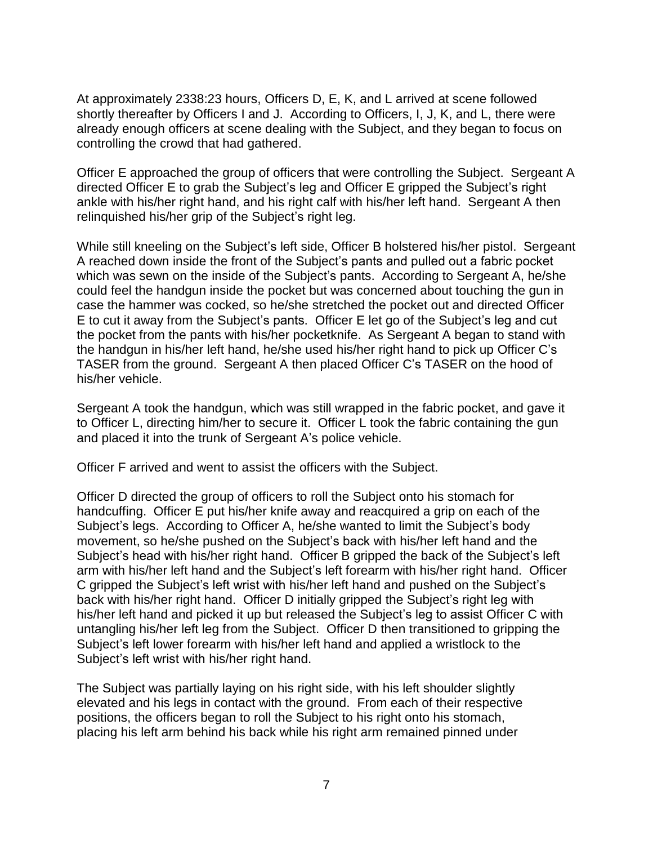At approximately 2338:23 hours, Officers D, E, K, and L arrived at scene followed shortly thereafter by Officers I and J. According to Officers, I, J, K, and L, there were already enough officers at scene dealing with the Subject, and they began to focus on controlling the crowd that had gathered.

Officer E approached the group of officers that were controlling the Subject. Sergeant A directed Officer E to grab the Subject's leg and Officer E gripped the Subject's right ankle with his/her right hand, and his right calf with his/her left hand. Sergeant A then relinquished his/her grip of the Subject's right leg.

While still kneeling on the Subject's left side, Officer B holstered his/her pistol. Sergeant A reached down inside the front of the Subject's pants and pulled out a fabric pocket which was sewn on the inside of the Subject's pants. According to Sergeant A, he/she could feel the handgun inside the pocket but was concerned about touching the gun in case the hammer was cocked, so he/she stretched the pocket out and directed Officer E to cut it away from the Subject's pants. Officer E let go of the Subject's leg and cut the pocket from the pants with his/her pocketknife. As Sergeant A began to stand with the handgun in his/her left hand, he/she used his/her right hand to pick up Officer C's TASER from the ground. Sergeant A then placed Officer C's TASER on the hood of his/her vehicle.

Sergeant A took the handgun, which was still wrapped in the fabric pocket, and gave it to Officer L, directing him/her to secure it. Officer L took the fabric containing the gun and placed it into the trunk of Sergeant A's police vehicle.

Officer F arrived and went to assist the officers with the Subject.

Officer D directed the group of officers to roll the Subject onto his stomach for handcuffing. Officer E put his/her knife away and reacquired a grip on each of the Subject's legs. According to Officer A, he/she wanted to limit the Subject's body movement, so he/she pushed on the Subject's back with his/her left hand and the Subject's head with his/her right hand. Officer B gripped the back of the Subject's left arm with his/her left hand and the Subject's left forearm with his/her right hand. Officer C gripped the Subject's left wrist with his/her left hand and pushed on the Subject's back with his/her right hand. Officer D initially gripped the Subject's right leg with his/her left hand and picked it up but released the Subject's leg to assist Officer C with untangling his/her left leg from the Subject. Officer D then transitioned to gripping the Subject's left lower forearm with his/her left hand and applied a wristlock to the Subject's left wrist with his/her right hand.

The Subject was partially laying on his right side, with his left shoulder slightly elevated and his legs in contact with the ground. From each of their respective positions, the officers began to roll the Subject to his right onto his stomach, placing his left arm behind his back while his right arm remained pinned under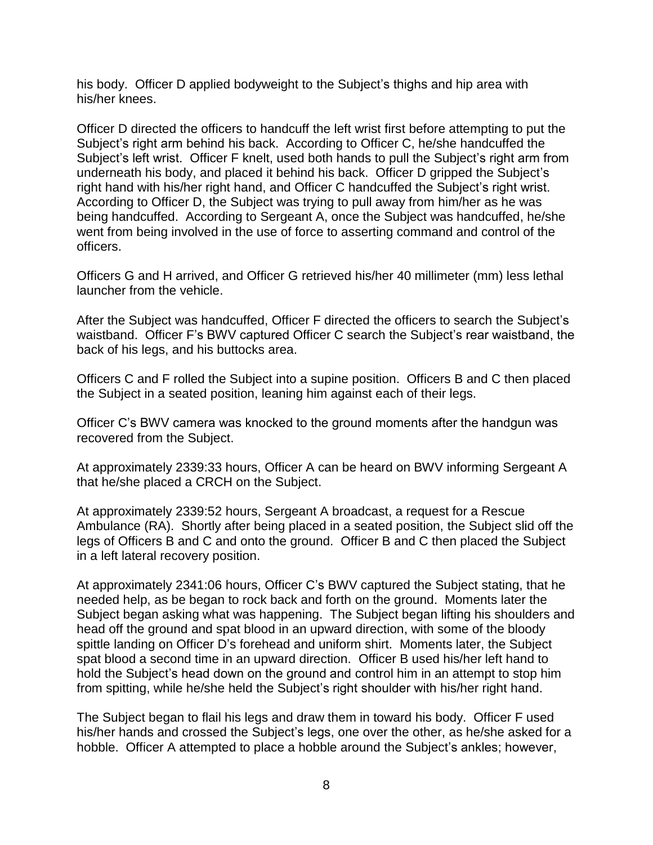his body. Officer D applied bodyweight to the Subject's thighs and hip area with his/her knees.

Officer D directed the officers to handcuff the left wrist first before attempting to put the Subject's right arm behind his back. According to Officer C, he/she handcuffed the Subject's left wrist. Officer F knelt, used both hands to pull the Subject's right arm from underneath his body, and placed it behind his back. Officer D gripped the Subject's right hand with his/her right hand, and Officer C handcuffed the Subject's right wrist. According to Officer D, the Subject was trying to pull away from him/her as he was being handcuffed. According to Sergeant A, once the Subject was handcuffed, he/she went from being involved in the use of force to asserting command and control of the officers.

Officers G and H arrived, and Officer G retrieved his/her 40 millimeter (mm) less lethal launcher from the vehicle.

After the Subject was handcuffed, Officer F directed the officers to search the Subject's waistband. Officer F's BWV captured Officer C search the Subject's rear waistband, the back of his legs, and his buttocks area.

Officers C and F rolled the Subject into a supine position. Officers B and C then placed the Subject in a seated position, leaning him against each of their legs.

Officer C's BWV camera was knocked to the ground moments after the handgun was recovered from the Subject.

At approximately 2339:33 hours, Officer A can be heard on BWV informing Sergeant A that he/she placed a CRCH on the Subject.

At approximately 2339:52 hours, Sergeant A broadcast, a request for a Rescue Ambulance (RA). Shortly after being placed in a seated position, the Subject slid off the legs of Officers B and C and onto the ground. Officer B and C then placed the Subject in a left lateral recovery position.

At approximately 2341:06 hours, Officer C's BWV captured the Subject stating, that he needed help, as be began to rock back and forth on the ground.Moments later the Subject began asking what was happening. The Subject began lifting his shoulders and head off the ground and spat blood in an upward direction, with some of the bloody spittle landing on Officer D's forehead and uniform shirt. Moments later, the Subject spat blood a second time in an upward direction. Officer B used his/her left hand to hold the Subject's head down on the ground and control him in an attempt to stop him from spitting, while he/she held the Subject's right shoulder with his/her right hand.

The Subject began to flail his legs and draw them in toward his body. Officer F used his/her hands and crossed the Subject's legs, one over the other, as he/she asked for a hobble. Officer A attempted to place a hobble around the Subject's ankles; however,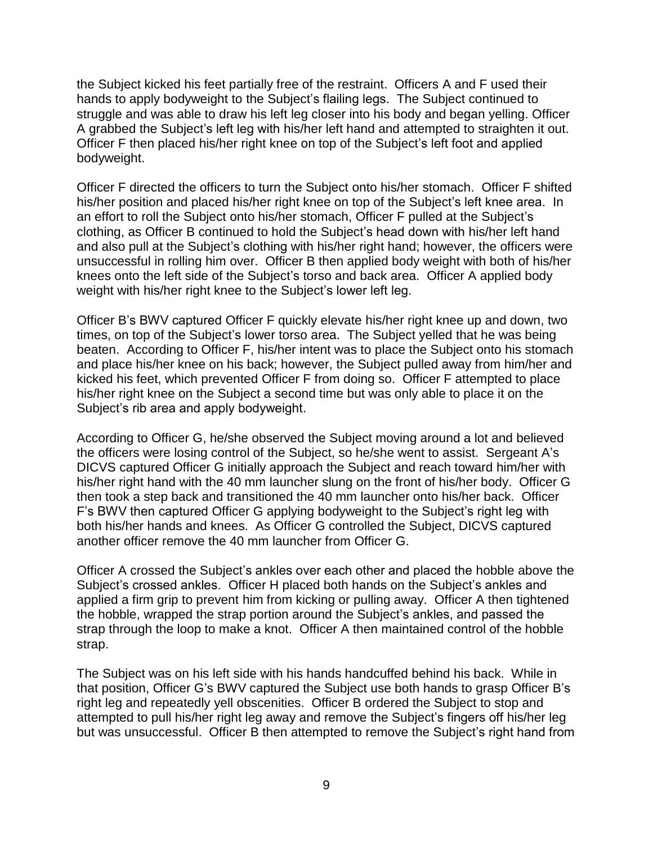the Subject kicked his feet partially free of the restraint. Officers A and F used their hands to apply bodyweight to the Subject's flailing legs. The Subject continued to struggle and was able to draw his left leg closer into his body and began yelling. Officer A grabbed the Subject's left leg with his/her left hand and attempted to straighten it out. Officer F then placed his/her right knee on top of the Subject's left foot and applied bodyweight.

Officer F directed the officers to turn the Subject onto his/her stomach. Officer F shifted his/her position and placed his/her right knee on top of the Subject's left knee area. In an effort to roll the Subject onto his/her stomach, Officer F pulled at the Subject's clothing, as Officer B continued to hold the Subject's head down with his/her left hand and also pull at the Subject's clothing with his/her right hand; however, the officers were unsuccessful in rolling him over. Officer B then applied body weight with both of his/her knees onto the left side of the Subject's torso and back area. Officer A applied body weight with his/her right knee to the Subject's lower left leg.

Officer B's BWV captured Officer F quickly elevate his/her right knee up and down, two times, on top of the Subject's lower torso area. The Subject yelled that he was being beaten. According to Officer F, his/her intent was to place the Subject onto his stomach and place his/her knee on his back; however, the Subject pulled away from him/her and kicked his feet, which prevented Officer F from doing so. Officer F attempted to place his/her right knee on the Subject a second time but was only able to place it on the Subject's rib area and apply bodyweight.

According to Officer G, he/she observed the Subject moving around a lot and believed the officers were losing control of the Subject, so he/she went to assist. Sergeant A's DICVS captured Officer G initially approach the Subject and reach toward him/her with his/her right hand with the 40 mm launcher slung on the front of his/her body. Officer G then took a step back and transitioned the 40 mm launcher onto his/her back. Officer F's BWV then captured Officer G applying bodyweight to the Subject's right leg with both his/her hands and knees. As Officer G controlled the Subject, DICVS captured another officer remove the 40 mm launcher from Officer G.

Officer A crossed the Subject's ankles over each other and placed the hobble above the Subject's crossed ankles. Officer H placed both hands on the Subject's ankles and applied a firm grip to prevent him from kicking or pulling away. Officer A then tightened the hobble, wrapped the strap portion around the Subject's ankles, and passed the strap through the loop to make a knot. Officer A then maintained control of the hobble strap.

The Subject was on his left side with his hands handcuffed behind his back. While in that position, Officer G's BWV captured the Subject use both hands to grasp Officer B's right leg and repeatedly yell obscenities. Officer B ordered the Subject to stop and attempted to pull his/her right leg away and remove the Subject's fingers off his/her leg but was unsuccessful. Officer B then attempted to remove the Subject's right hand from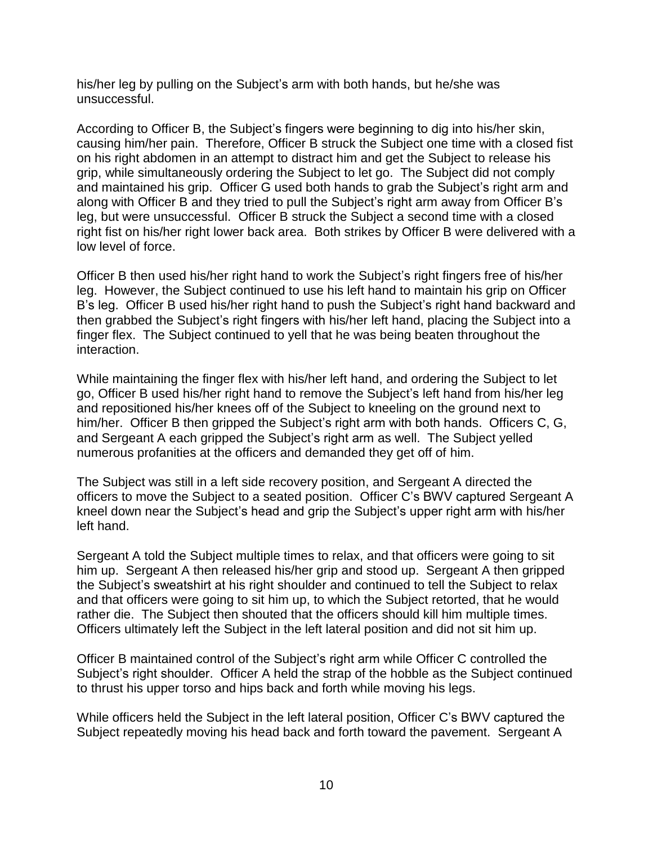his/her leg by pulling on the Subject's arm with both hands, but he/she was unsuccessful.

According to Officer B, the Subject's fingers were beginning to dig into his/her skin, causing him/her pain. Therefore, Officer B struck the Subject one time with a closed fist on his right abdomen in an attempt to distract him and get the Subject to release his grip, while simultaneously ordering the Subject to let go. The Subject did not comply and maintained his grip. Officer G used both hands to grab the Subject's right arm and along with Officer B and they tried to pull the Subject's right arm away from Officer B's leg, but were unsuccessful. Officer B struck the Subject a second time with a closed right fist on his/her right lower back area. Both strikes by Officer B were delivered with a low level of force.

Officer B then used his/her right hand to work the Subject's right fingers free of his/her leg. However, the Subject continued to use his left hand to maintain his grip on Officer B's leg. Officer B used his/her right hand to push the Subject's right hand backward and then grabbed the Subject's right fingers with his/her left hand, placing the Subject into a finger flex. The Subject continued to yell that he was being beaten throughout the interaction.

While maintaining the finger flex with his/her left hand, and ordering the Subject to let go, Officer B used his/her right hand to remove the Subject's left hand from his/her leg and repositioned his/her knees off of the Subject to kneeling on the ground next to him/her. Officer B then gripped the Subject's right arm with both hands. Officers C, G, and Sergeant A each gripped the Subject's right arm as well. The Subject yelled numerous profanities at the officers and demanded they get off of him.

The Subject was still in a left side recovery position, and Sergeant A directed the officers to move the Subject to a seated position. Officer C's BWV captured Sergeant A kneel down near the Subject's head and grip the Subject's upper right arm with his/her left hand.

Sergeant A told the Subject multiple times to relax, and that officers were going to sit him up. Sergeant A then released his/her grip and stood up. Sergeant A then gripped the Subject's sweatshirt at his right shoulder and continued to tell the Subject to relax and that officers were going to sit him up, to which the Subject retorted, that he would rather die. The Subject then shouted that the officers should kill him multiple times. Officers ultimately left the Subject in the left lateral position and did not sit him up.

Officer B maintained control of the Subject's right arm while Officer C controlled the Subject's right shoulder. Officer A held the strap of the hobble as the Subject continued to thrust his upper torso and hips back and forth while moving his legs.

While officers held the Subject in the left lateral position, Officer C's BWV captured the Subject repeatedly moving his head back and forth toward the pavement. Sergeant A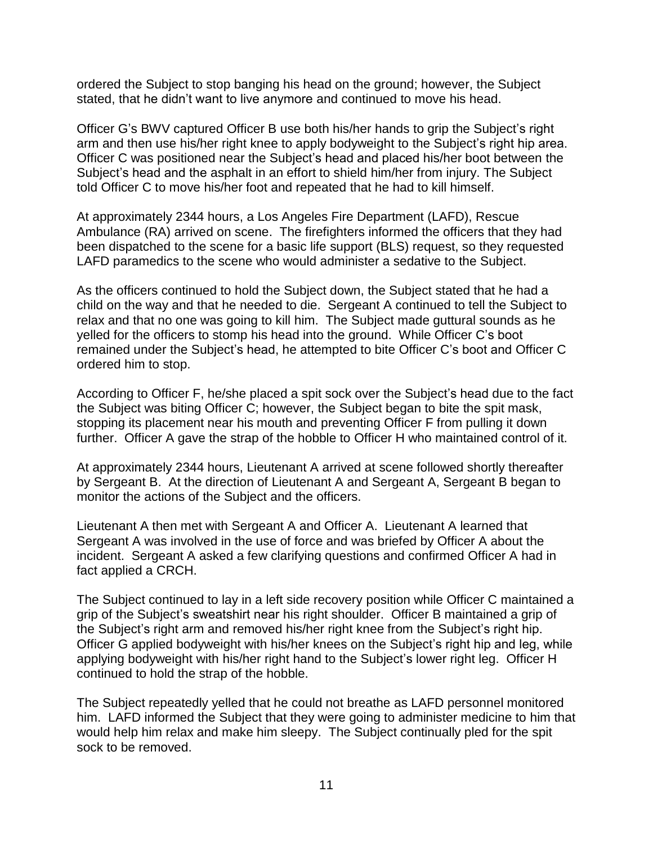ordered the Subject to stop banging his head on the ground; however, the Subject stated, that he didn't want to live anymore and continued to move his head.

Officer G's BWV captured Officer B use both his/her hands to grip the Subject's right arm and then use his/her right knee to apply bodyweight to the Subject's right hip area. Officer C was positioned near the Subject's head and placed his/her boot between the Subject's head and the asphalt in an effort to shield him/her from injury. The Subject told Officer C to move his/her foot and repeated that he had to kill himself.

At approximately 2344 hours, a Los Angeles Fire Department (LAFD), Rescue Ambulance (RA) arrived on scene. The firefighters informed the officers that they had been dispatched to the scene for a basic life support (BLS) request, so they requested LAFD paramedics to the scene who would administer a sedative to the Subject.

As the officers continued to hold the Subject down, the Subject stated that he had a child on the way and that he needed to die. Sergeant A continued to tell the Subject to relax and that no one was going to kill him. The Subject made guttural sounds as he yelled for the officers to stomp his head into the ground. While Officer C's boot remained under the Subject's head, he attempted to bite Officer C's boot and Officer C ordered him to stop.

According to Officer F, he/she placed a spit sock over the Subject's head due to the fact the Subject was biting Officer C; however, the Subject began to bite the spit mask, stopping its placement near his mouth and preventing Officer F from pulling it down further. Officer A gave the strap of the hobble to Officer H who maintained control of it.

At approximately 2344 hours, Lieutenant A arrived at scene followed shortly thereafter by Sergeant B. At the direction of Lieutenant A and Sergeant A, Sergeant B began to monitor the actions of the Subject and the officers.

Lieutenant A then met with Sergeant A and Officer A. Lieutenant A learned that Sergeant A was involved in the use of force and was briefed by Officer A about the incident. Sergeant A asked a few clarifying questions and confirmed Officer A had in fact applied a CRCH.

The Subject continued to lay in a left side recovery position while Officer C maintained a grip of the Subject's sweatshirt near his right shoulder. Officer B maintained a grip of the Subject's right arm and removed his/her right knee from the Subject's right hip. Officer G applied bodyweight with his/her knees on the Subject's right hip and leg, while applying bodyweight with his/her right hand to the Subject's lower right leg. Officer H continued to hold the strap of the hobble.

The Subject repeatedly yelled that he could not breathe as LAFD personnel monitored him. LAFD informed the Subject that they were going to administer medicine to him that would help him relax and make him sleepy. The Subject continually pled for the spit sock to be removed.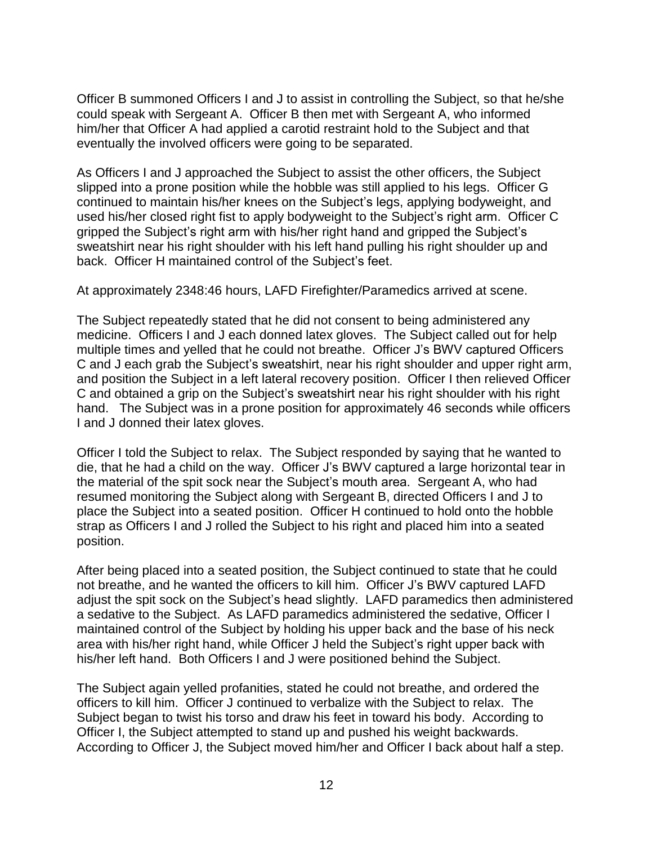Officer B summoned Officers I and J to assist in controlling the Subject, so that he/she could speak with Sergeant A. Officer B then met with Sergeant A, who informed him/her that Officer A had applied a carotid restraint hold to the Subject and that eventually the involved officers were going to be separated.

As Officers I and J approached the Subject to assist the other officers, the Subject slipped into a prone position while the hobble was still applied to his legs. Officer G continued to maintain his/her knees on the Subject's legs, applying bodyweight, and used his/her closed right fist to apply bodyweight to the Subject's right arm. Officer C gripped the Subject's right arm with his/her right hand and gripped the Subject's sweatshirt near his right shoulder with his left hand pulling his right shoulder up and back. Officer H maintained control of the Subject's feet.

At approximately 2348:46 hours, LAFD Firefighter/Paramedics arrived at scene.

The Subject repeatedly stated that he did not consent to being administered any medicine. Officers I and J each donned latex gloves. The Subject called out for help multiple times and yelled that he could not breathe. Officer J's BWV captured Officers C and J each grab the Subject's sweatshirt, near his right shoulder and upper right arm, and position the Subject in a left lateral recovery position. Officer I then relieved Officer C and obtained a grip on the Subject's sweatshirt near his right shoulder with his right hand. The Subject was in a prone position for approximately 46 seconds while officers I and J donned their latex gloves.

Officer I told the Subject to relax. The Subject responded by saying that he wanted to die, that he had a child on the way. Officer J's BWV captured a large horizontal tear in the material of the spit sock near the Subject's mouth area. Sergeant A, who had resumed monitoring the Subject along with Sergeant B, directed Officers I and J to place the Subject into a seated position. Officer H continued to hold onto the hobble strap as Officers I and J rolled the Subject to his right and placed him into a seated position.

After being placed into a seated position, the Subject continued to state that he could not breathe, and he wanted the officers to kill him. Officer J's BWV captured LAFD adjust the spit sock on the Subject's head slightly. LAFD paramedics then administered a sedative to the Subject. As LAFD paramedics administered the sedative, Officer I maintained control of the Subject by holding his upper back and the base of his neck area with his/her right hand, while Officer J held the Subject's right upper back with his/her left hand. Both Officers I and J were positioned behind the Subject.

The Subject again yelled profanities, stated he could not breathe, and ordered the officers to kill him. Officer J continued to verbalize with the Subject to relax. The Subject began to twist his torso and draw his feet in toward his body. According to Officer I, the Subject attempted to stand up and pushed his weight backwards. According to Officer J, the Subject moved him/her and Officer I back about half a step.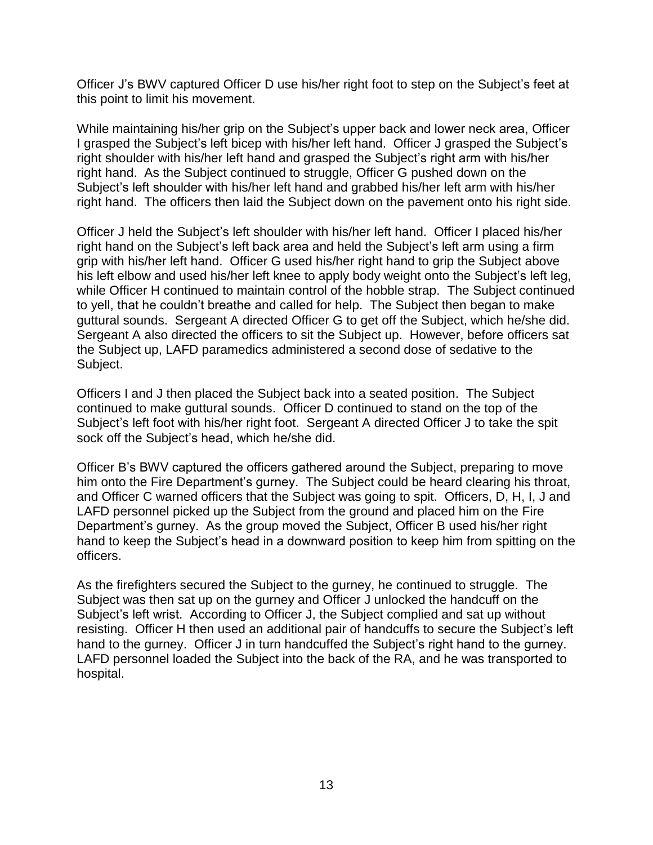Officer J's BWV captured Officer D use his/her right foot to step on the Subject's feet at this point to limit his movement.

While maintaining his/her grip on the Subject's upper back and lower neck area, Officer I grasped the Subject's left bicep with his/her left hand. Officer J grasped the Subject's right shoulder with his/her left hand and grasped the Subject's right arm with his/her right hand. As the Subject continued to struggle, Officer G pushed down on the Subject's left shoulder with his/her left hand and grabbed his/her left arm with his/her right hand. The officers then laid the Subject down on the pavement onto his right side.

Officer J held the Subject's left shoulder with his/her left hand. Officer I placed his/her right hand on the Subject's left back area and held the Subject's left arm using a firm grip with his/her left hand. Officer G used his/her right hand to grip the Subject above his left elbow and used his/her left knee to apply body weight onto the Subject's left leg, while Officer H continued to maintain control of the hobble strap. The Subject continued to yell, that he couldn't breathe and called for help. The Subject then began to make guttural sounds. Sergeant A directed Officer G to get off the Subject, which he/she did. Sergeant A also directed the officers to sit the Subject up. However, before officers sat the Subject up, LAFD paramedics administered a second dose of sedative to the Subject.

Officers I and J then placed the Subject back into a seated position. The Subject continued to make guttural sounds. Officer D continued to stand on the top of the Subject's left foot with his/her right foot. Sergeant A directed Officer J to take the spit sock off the Subject's head, which he/she did.

Officer B's BWV captured the officers gathered around the Subject, preparing to move him onto the Fire Department's gurney. The Subject could be heard clearing his throat, and Officer C warned officers that the Subject was going to spit. Officers, D, H, I, J and LAFD personnel picked up the Subject from the ground and placed him on the Fire Department's gurney. As the group moved the Subject, Officer B used his/her right hand to keep the Subject's head in a downward position to keep him from spitting on the officers.

As the firefighters secured the Subject to the gurney, he continued to struggle. The Subject was then sat up on the gurney and Officer J unlocked the handcuff on the Subject's left wrist. According to Officer J, the Subject complied and sat up without resisting. Officer H then used an additional pair of handcuffs to secure the Subject's left hand to the gurney. Officer J in turn handcuffed the Subject's right hand to the gurney. LAFD personnel loaded the Subject into the back of the RA, and he was transported to hospital.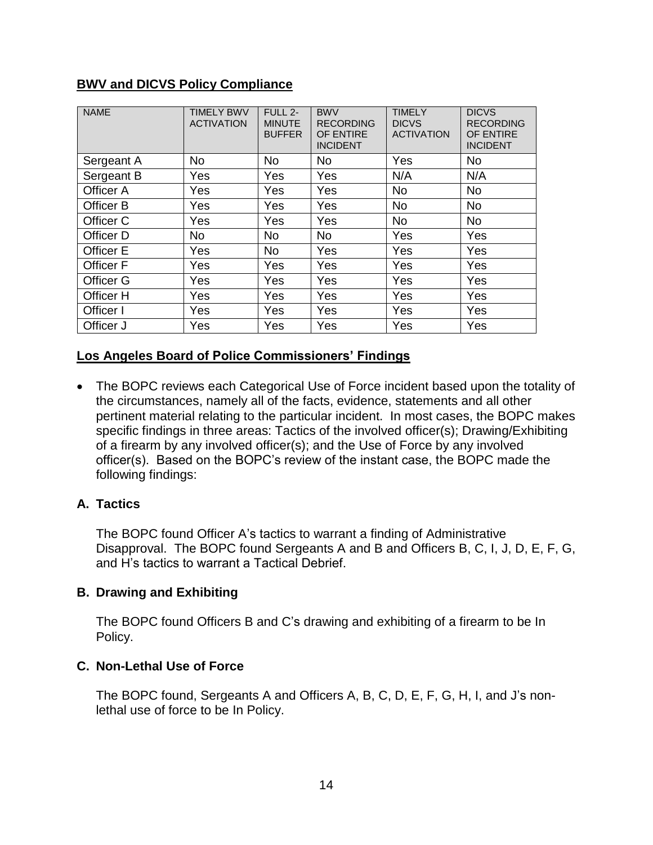## **BWV and DICVS Policy Compliance**

| <b>NAME</b> | <b>TIMELY BWV</b><br><b>ACTIVATION</b> | FULL 2-<br><b>MINUTE</b><br><b>BUFFER</b> | <b>BWV</b><br><b>RECORDING</b><br>OF ENTIRE<br><b>INCIDENT</b> | <b>TIMELY</b><br><b>DICVS</b><br><b>ACTIVATION</b> | <b>DICVS</b><br><b>RECORDING</b><br>OF ENTIRE<br><b>INCIDENT</b> |
|-------------|----------------------------------------|-------------------------------------------|----------------------------------------------------------------|----------------------------------------------------|------------------------------------------------------------------|
| Sergeant A  | <b>No</b>                              | <b>No</b>                                 | <b>No</b>                                                      | Yes                                                | <b>No</b>                                                        |
| Sergeant B  | Yes                                    | Yes                                       | Yes                                                            | N/A                                                | N/A                                                              |
| Officer A   | Yes                                    | Yes                                       | Yes                                                            | <b>No</b>                                          | <b>No</b>                                                        |
| Officer B   | Yes                                    | Yes                                       | Yes                                                            | <b>No</b>                                          | <b>No</b>                                                        |
| Officer C   | Yes                                    | Yes                                       | Yes                                                            | <b>No</b>                                          | <b>No</b>                                                        |
| Officer D   | No                                     | No.                                       | <b>No</b>                                                      | Yes                                                | Yes                                                              |
| Officer E   | Yes                                    | <b>No</b>                                 | Yes                                                            | Yes                                                | Yes                                                              |
| Officer F   | Yes                                    | Yes                                       | Yes                                                            | Yes                                                | Yes                                                              |
| Officer G   | Yes                                    | Yes                                       | Yes                                                            | Yes                                                | Yes                                                              |
| Officer H   | Yes                                    | Yes                                       | Yes                                                            | Yes                                                | Yes                                                              |
| Officer I   | Yes                                    | Yes                                       | Yes                                                            | Yes                                                | Yes                                                              |
| Officer J   | Yes                                    | Yes                                       | Yes                                                            | Yes                                                | Yes                                                              |

# **Los Angeles Board of Police Commissioners' Findings**

• The BOPC reviews each Categorical Use of Force incident based upon the totality of the circumstances, namely all of the facts, evidence, statements and all other pertinent material relating to the particular incident. In most cases, the BOPC makes specific findings in three areas: Tactics of the involved officer(s); Drawing/Exhibiting of a firearm by any involved officer(s); and the Use of Force by any involved officer(s). Based on the BOPC's review of the instant case, the BOPC made the following findings:

## **A. Tactics**

The BOPC found Officer A's tactics to warrant a finding of Administrative Disapproval. The BOPC found Sergeants A and B and Officers B, C, I, J, D, E, F, G, and H's tactics to warrant a Tactical Debrief.

## **B. Drawing and Exhibiting**

The BOPC found Officers B and C's drawing and exhibiting of a firearm to be In Policy.

## **C. Non-Lethal Use of Force**

The BOPC found, Sergeants A and Officers A, B, C, D, E, F, G, H, I, and J's nonlethal use of force to be In Policy.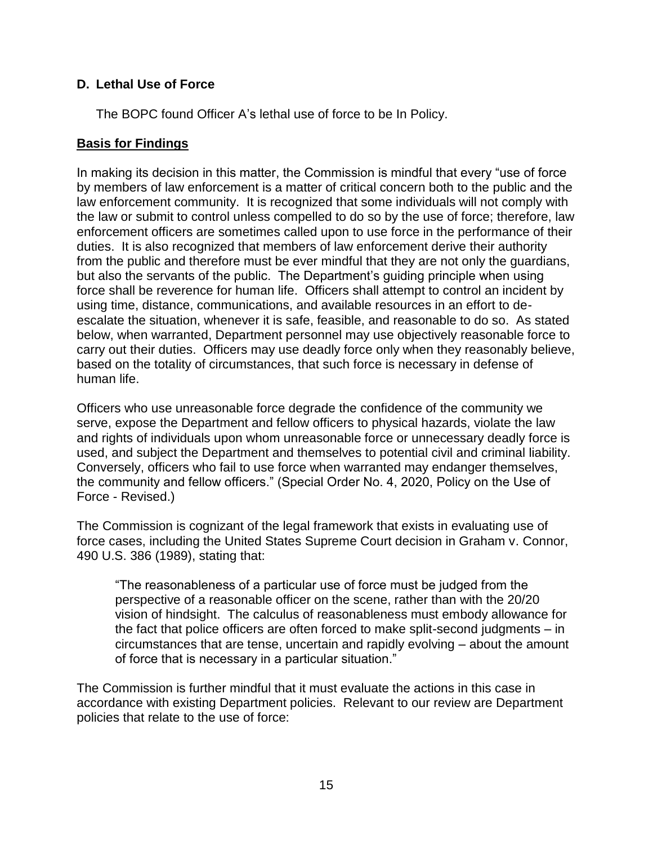# **D. Lethal Use of Force**

The BOPC found Officer A's lethal use of force to be In Policy.

# **Basis for Findings**

In making its decision in this matter, the Commission is mindful that every "use of force by members of law enforcement is a matter of critical concern both to the public and the law enforcement community. It is recognized that some individuals will not comply with the law or submit to control unless compelled to do so by the use of force; therefore, law enforcement officers are sometimes called upon to use force in the performance of their duties. It is also recognized that members of law enforcement derive their authority from the public and therefore must be ever mindful that they are not only the guardians, but also the servants of the public. The Department's guiding principle when using force shall be reverence for human life. Officers shall attempt to control an incident by using time, distance, communications, and available resources in an effort to deescalate the situation, whenever it is safe, feasible, and reasonable to do so. As stated below, when warranted, Department personnel may use objectively reasonable force to carry out their duties. Officers may use deadly force only when they reasonably believe, based on the totality of circumstances, that such force is necessary in defense of human life.

Officers who use unreasonable force degrade the confidence of the community we serve, expose the Department and fellow officers to physical hazards, violate the law and rights of individuals upon whom unreasonable force or unnecessary deadly force is used, and subject the Department and themselves to potential civil and criminal liability. Conversely, officers who fail to use force when warranted may endanger themselves, the community and fellow officers." (Special Order No. 4, 2020, Policy on the Use of Force - Revised.)

The Commission is cognizant of the legal framework that exists in evaluating use of force cases, including the United States Supreme Court decision in Graham v. Connor, 490 U.S. 386 (1989), stating that:

"The reasonableness of a particular use of force must be judged from the perspective of a reasonable officer on the scene, rather than with the 20/20 vision of hindsight. The calculus of reasonableness must embody allowance for the fact that police officers are often forced to make split-second judgments – in circumstances that are tense, uncertain and rapidly evolving – about the amount of force that is necessary in a particular situation."

The Commission is further mindful that it must evaluate the actions in this case in accordance with existing Department policies. Relevant to our review are Department policies that relate to the use of force: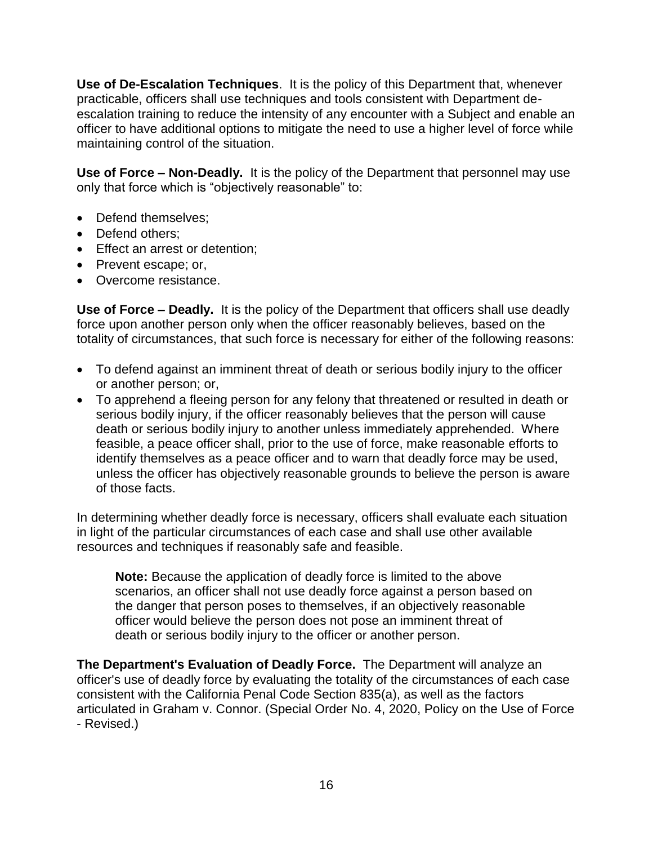**Use of De-Escalation Techniques**. It is the policy of this Department that, whenever practicable, officers shall use techniques and tools consistent with Department deescalation training to reduce the intensity of any encounter with a Subject and enable an officer to have additional options to mitigate the need to use a higher level of force while maintaining control of the situation.

**Use of Force – Non-Deadly.** It is the policy of the Department that personnel may use only that force which is "objectively reasonable" to:

- Defend themselves:
- Defend others:
- Effect an arrest or detention;
- Prevent escape; or,
- Overcome resistance.

**Use of Force – Deadly.** It is the policy of the Department that officers shall use deadly force upon another person only when the officer reasonably believes, based on the totality of circumstances, that such force is necessary for either of the following reasons:

- To defend against an imminent threat of death or serious bodily injury to the officer or another person; or,
- To apprehend a fleeing person for any felony that threatened or resulted in death or serious bodily injury, if the officer reasonably believes that the person will cause death or serious bodily injury to another unless immediately apprehended. Where feasible, a peace officer shall, prior to the use of force, make reasonable efforts to identify themselves as a peace officer and to warn that deadly force may be used, unless the officer has objectively reasonable grounds to believe the person is aware of those facts.

In determining whether deadly force is necessary, officers shall evaluate each situation in light of the particular circumstances of each case and shall use other available resources and techniques if reasonably safe and feasible.

**Note:** Because the application of deadly force is limited to the above scenarios, an officer shall not use deadly force against a person based on the danger that person poses to themselves, if an objectively reasonable officer would believe the person does not pose an imminent threat of death or serious bodily injury to the officer or another person.

**The Department's Evaluation of Deadly Force.** The Department will analyze an officer's use of deadly force by evaluating the totality of the circumstances of each case consistent with the California Penal Code Section 835(a), as well as the factors articulated in Graham v. Connor. (Special Order No. 4, 2020, Policy on the Use of Force - Revised.)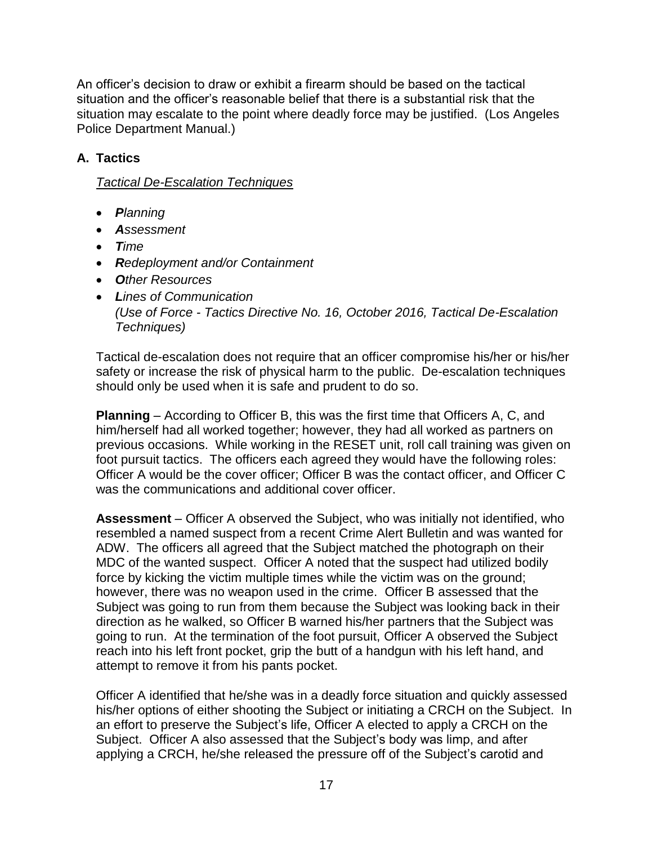An officer's decision to draw or exhibit a firearm should be based on the tactical situation and the officer's reasonable belief that there is a substantial risk that the situation may escalate to the point where deadly force may be justified. (Los Angeles Police Department Manual.)

# **A. Tactics**

## *Tactical De-Escalation Techniques*

- *Planning*
- *Assessment*
- *Time*
- *Redeployment and/or Containment*
- *Other Resources*
- *Lines of Communication (Use of Force - Tactics Directive No. 16, October 2016, Tactical De-Escalation Techniques)*

Tactical de-escalation does not require that an officer compromise his/her or his/her safety or increase the risk of physical harm to the public. De-escalation techniques should only be used when it is safe and prudent to do so.

**Planning** – According to Officer B, this was the first time that Officers A, C, and him/herself had all worked together; however, they had all worked as partners on previous occasions. While working in the RESET unit, roll call training was given on foot pursuit tactics. The officers each agreed they would have the following roles: Officer A would be the cover officer; Officer B was the contact officer, and Officer C was the communications and additional cover officer.

**Assessment** – Officer A observed the Subject, who was initially not identified, who resembled a named suspect from a recent Crime Alert Bulletin and was wanted for ADW. The officers all agreed that the Subject matched the photograph on their MDC of the wanted suspect. Officer A noted that the suspect had utilized bodily force by kicking the victim multiple times while the victim was on the ground; however, there was no weapon used in the crime. Officer B assessed that the Subject was going to run from them because the Subject was looking back in their direction as he walked, so Officer B warned his/her partners that the Subject was going to run. At the termination of the foot pursuit, Officer A observed the Subject reach into his left front pocket, grip the butt of a handgun with his left hand, and attempt to remove it from his pants pocket.

Officer A identified that he/she was in a deadly force situation and quickly assessed his/her options of either shooting the Subject or initiating a CRCH on the Subject. In an effort to preserve the Subject's life, Officer A elected to apply a CRCH on the Subject. Officer A also assessed that the Subject's body was limp, and after applying a CRCH, he/she released the pressure off of the Subject's carotid and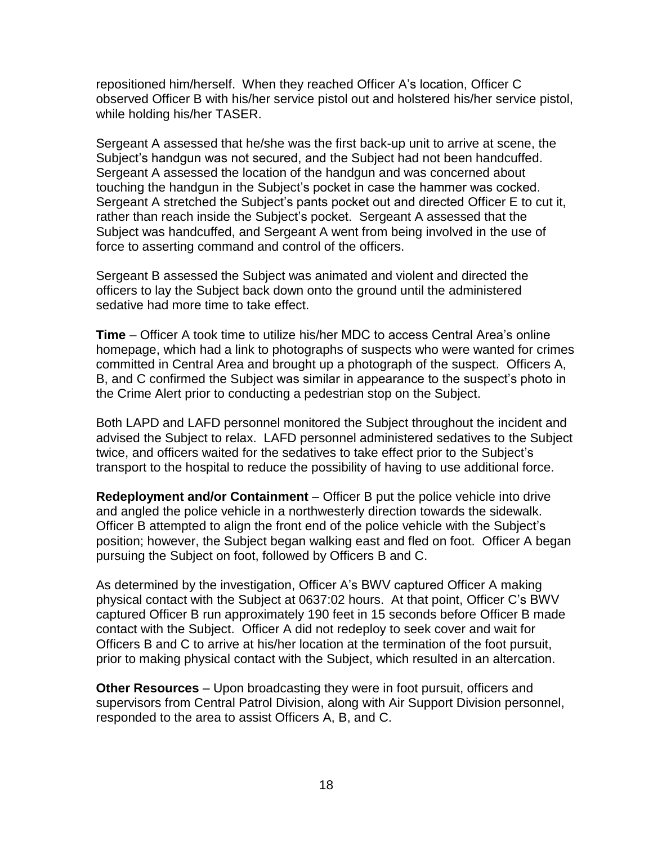repositioned him/herself. When they reached Officer A's location, Officer C observed Officer B with his/her service pistol out and holstered his/her service pistol, while holding his/her TASER.

Sergeant A assessed that he/she was the first back-up unit to arrive at scene, the Subject's handgun was not secured, and the Subject had not been handcuffed. Sergeant A assessed the location of the handgun and was concerned about touching the handgun in the Subject's pocket in case the hammer was cocked. Sergeant A stretched the Subject's pants pocket out and directed Officer E to cut it, rather than reach inside the Subject's pocket. Sergeant A assessed that the Subject was handcuffed, and Sergeant A went from being involved in the use of force to asserting command and control of the officers.

Sergeant B assessed the Subject was animated and violent and directed the officers to lay the Subject back down onto the ground until the administered sedative had more time to take effect.

**Time** – Officer A took time to utilize his/her MDC to access Central Area's online homepage, which had a link to photographs of suspects who were wanted for crimes committed in Central Area and brought up a photograph of the suspect. Officers A, B, and C confirmed the Subject was similar in appearance to the suspect's photo in the Crime Alert prior to conducting a pedestrian stop on the Subject.

Both LAPD and LAFD personnel monitored the Subject throughout the incident and advised the Subject to relax. LAFD personnel administered sedatives to the Subject twice, and officers waited for the sedatives to take effect prior to the Subject's transport to the hospital to reduce the possibility of having to use additional force.

**Redeployment and/or Containment** – Officer B put the police vehicle into drive and angled the police vehicle in a northwesterly direction towards the sidewalk. Officer B attempted to align the front end of the police vehicle with the Subject's position; however, the Subject began walking east and fled on foot. Officer A began pursuing the Subject on foot, followed by Officers B and C.

As determined by the investigation, Officer A's BWV captured Officer A making physical contact with the Subject at 0637:02 hours. At that point, Officer C's BWV captured Officer B run approximately 190 feet in 15 seconds before Officer B made contact with the Subject. Officer A did not redeploy to seek cover and wait for Officers B and C to arrive at his/her location at the termination of the foot pursuit, prior to making physical contact with the Subject, which resulted in an altercation.

**Other Resources** – Upon broadcasting they were in foot pursuit, officers and supervisors from Central Patrol Division, along with Air Support Division personnel, responded to the area to assist Officers A, B, and C.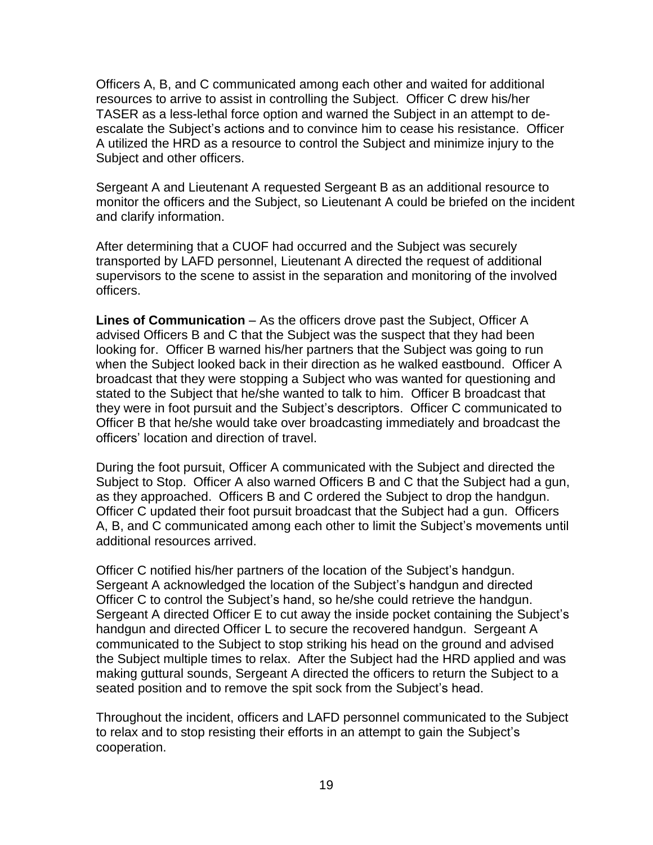Officers A, B, and C communicated among each other and waited for additional resources to arrive to assist in controlling the Subject. Officer C drew his/her TASER as a less-lethal force option and warned the Subject in an attempt to deescalate the Subject's actions and to convince him to cease his resistance. Officer A utilized the HRD as a resource to control the Subject and minimize injury to the Subject and other officers.

Sergeant A and Lieutenant A requested Sergeant B as an additional resource to monitor the officers and the Subject, so Lieutenant A could be briefed on the incident and clarify information.

After determining that a CUOF had occurred and the Subject was securely transported by LAFD personnel, Lieutenant A directed the request of additional supervisors to the scene to assist in the separation and monitoring of the involved officers.

**Lines of Communication** – As the officers drove past the Subject, Officer A advised Officers B and C that the Subject was the suspect that they had been looking for. Officer B warned his/her partners that the Subject was going to run when the Subject looked back in their direction as he walked eastbound. Officer A broadcast that they were stopping a Subject who was wanted for questioning and stated to the Subject that he/she wanted to talk to him. Officer B broadcast that they were in foot pursuit and the Subject's descriptors. Officer C communicated to Officer B that he/she would take over broadcasting immediately and broadcast the officers' location and direction of travel.

During the foot pursuit, Officer A communicated with the Subject and directed the Subject to Stop. Officer A also warned Officers B and C that the Subject had a gun, as they approached. Officers B and C ordered the Subject to drop the handgun. Officer C updated their foot pursuit broadcast that the Subject had a gun. Officers A, B, and C communicated among each other to limit the Subject's movements until additional resources arrived.

Officer C notified his/her partners of the location of the Subject's handgun. Sergeant A acknowledged the location of the Subject's handgun and directed Officer C to control the Subject's hand, so he/she could retrieve the handgun. Sergeant A directed Officer E to cut away the inside pocket containing the Subject's handgun and directed Officer L to secure the recovered handgun. Sergeant A communicated to the Subject to stop striking his head on the ground and advised the Subject multiple times to relax. After the Subject had the HRD applied and was making guttural sounds, Sergeant A directed the officers to return the Subject to a seated position and to remove the spit sock from the Subject's head.

Throughout the incident, officers and LAFD personnel communicated to the Subject to relax and to stop resisting their efforts in an attempt to gain the Subject's cooperation.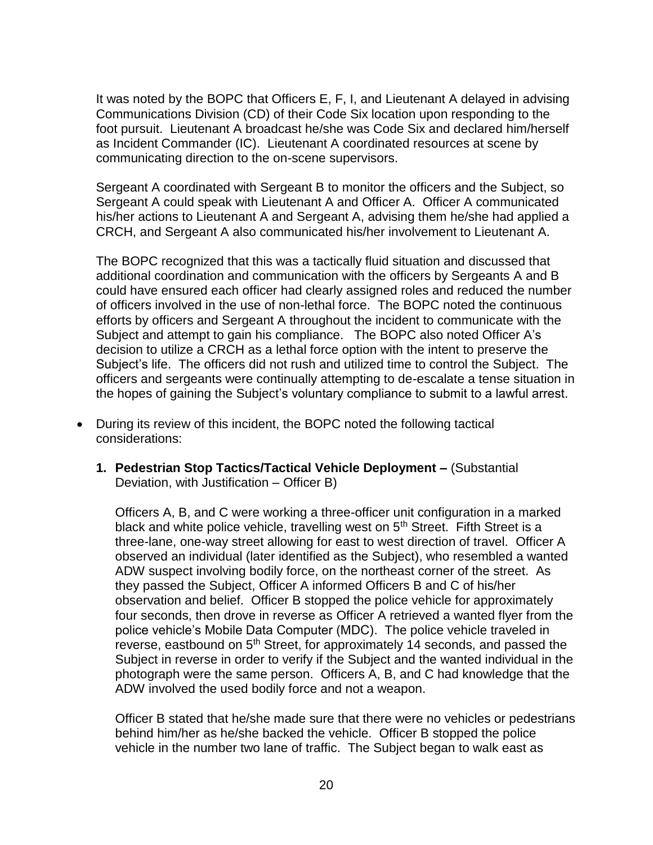It was noted by the BOPC that Officers E, F, I, and Lieutenant A delayed in advising Communications Division (CD) of their Code Six location upon responding to the foot pursuit. Lieutenant A broadcast he/she was Code Six and declared him/herself as Incident Commander (IC). Lieutenant A coordinated resources at scene by communicating direction to the on-scene supervisors.

Sergeant A coordinated with Sergeant B to monitor the officers and the Subject, so Sergeant A could speak with Lieutenant A and Officer A. Officer A communicated his/her actions to Lieutenant A and Sergeant A, advising them he/she had applied a CRCH, and Sergeant A also communicated his/her involvement to Lieutenant A.

The BOPC recognized that this was a tactically fluid situation and discussed that additional coordination and communication with the officers by Sergeants A and B could have ensured each officer had clearly assigned roles and reduced the number of officers involved in the use of non-lethal force. The BOPC noted the continuous efforts by officers and Sergeant A throughout the incident to communicate with the Subject and attempt to gain his compliance. The BOPC also noted Officer A's decision to utilize a CRCH as a lethal force option with the intent to preserve the Subject's life. The officers did not rush and utilized time to control the Subject. The officers and sergeants were continually attempting to de-escalate a tense situation in the hopes of gaining the Subject's voluntary compliance to submit to a lawful arrest.

- During its review of this incident, the BOPC noted the following tactical considerations:
	- **1. Pedestrian Stop Tactics/Tactical Vehicle Deployment –** (Substantial Deviation, with Justification – Officer B)

Officers A, B, and C were working a three-officer unit configuration in a marked black and white police vehicle, travelling west on 5<sup>th</sup> Street. Fifth Street is a three-lane, one-way street allowing for east to west direction of travel. Officer A observed an individual (later identified as the Subject), who resembled a wanted ADW suspect involving bodily force, on the northeast corner of the street. As they passed the Subject, Officer A informed Officers B and C of his/her observation and belief. Officer B stopped the police vehicle for approximately four seconds, then drove in reverse as Officer A retrieved a wanted flyer from the police vehicle's Mobile Data Computer (MDC). The police vehicle traveled in reverse, eastbound on 5<sup>th</sup> Street, for approximately 14 seconds, and passed the Subject in reverse in order to verify if the Subject and the wanted individual in the photograph were the same person. Officers A, B, and C had knowledge that the ADW involved the used bodily force and not a weapon.

Officer B stated that he/she made sure that there were no vehicles or pedestrians behind him/her as he/she backed the vehicle. Officer B stopped the police vehicle in the number two lane of traffic. The Subject began to walk east as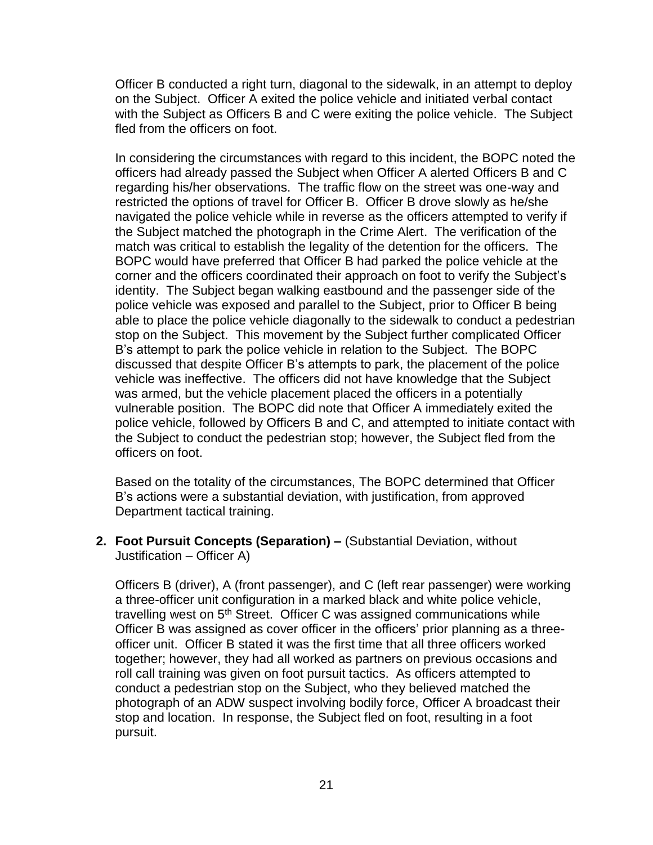Officer B conducted a right turn, diagonal to the sidewalk, in an attempt to deploy on the Subject. Officer A exited the police vehicle and initiated verbal contact with the Subject as Officers B and C were exiting the police vehicle. The Subject fled from the officers on foot.

In considering the circumstances with regard to this incident, the BOPC noted the officers had already passed the Subject when Officer A alerted Officers B and C regarding his/her observations. The traffic flow on the street was one-way and restricted the options of travel for Officer B. Officer B drove slowly as he/she navigated the police vehicle while in reverse as the officers attempted to verify if the Subject matched the photograph in the Crime Alert. The verification of the match was critical to establish the legality of the detention for the officers. The BOPC would have preferred that Officer B had parked the police vehicle at the corner and the officers coordinated their approach on foot to verify the Subject's identity. The Subject began walking eastbound and the passenger side of the police vehicle was exposed and parallel to the Subject, prior to Officer B being able to place the police vehicle diagonally to the sidewalk to conduct a pedestrian stop on the Subject. This movement by the Subject further complicated Officer B's attempt to park the police vehicle in relation to the Subject. The BOPC discussed that despite Officer B's attempts to park, the placement of the police vehicle was ineffective. The officers did not have knowledge that the Subject was armed, but the vehicle placement placed the officers in a potentially vulnerable position. The BOPC did note that Officer A immediately exited the police vehicle, followed by Officers B and C, and attempted to initiate contact with the Subject to conduct the pedestrian stop; however, the Subject fled from the officers on foot.

Based on the totality of the circumstances, The BOPC determined that Officer B's actions were a substantial deviation, with justification, from approved Department tactical training.

**2. Foot Pursuit Concepts (Separation) –** (Substantial Deviation, without Justification – Officer A)

Officers B (driver), A (front passenger), and C (left rear passenger) were working a three-officer unit configuration in a marked black and white police vehicle, travelling west on 5<sup>th</sup> Street. Officer C was assigned communications while Officer B was assigned as cover officer in the officers' prior planning as a threeofficer unit. Officer B stated it was the first time that all three officers worked together; however, they had all worked as partners on previous occasions and roll call training was given on foot pursuit tactics. As officers attempted to conduct a pedestrian stop on the Subject, who they believed matched the photograph of an ADW suspect involving bodily force, Officer A broadcast their stop and location. In response, the Subject fled on foot, resulting in a foot pursuit.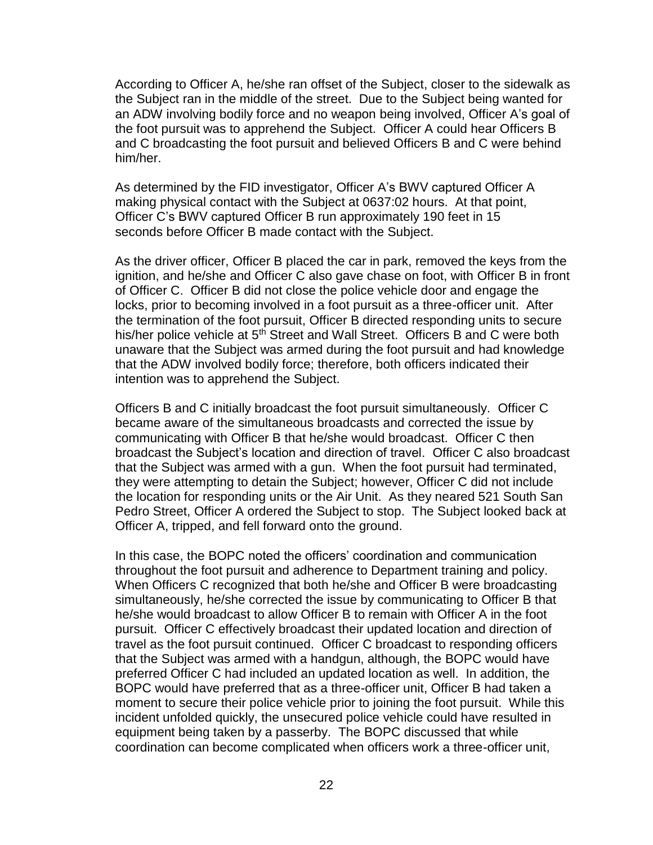According to Officer A, he/she ran offset of the Subject, closer to the sidewalk as the Subject ran in the middle of the street. Due to the Subject being wanted for an ADW involving bodily force and no weapon being involved, Officer A's goal of the foot pursuit was to apprehend the Subject. Officer A could hear Officers B and C broadcasting the foot pursuit and believed Officers B and C were behind him/her.

As determined by the FID investigator, Officer A's BWV captured Officer A making physical contact with the Subject at 0637:02 hours. At that point, Officer C's BWV captured Officer B run approximately 190 feet in 15 seconds before Officer B made contact with the Subject.

As the driver officer, Officer B placed the car in park, removed the keys from the ignition, and he/she and Officer C also gave chase on foot, with Officer B in front of Officer C. Officer B did not close the police vehicle door and engage the locks, prior to becoming involved in a foot pursuit as a three-officer unit. After the termination of the foot pursuit, Officer B directed responding units to secure his/her police vehicle at 5<sup>th</sup> Street and Wall Street. Officers B and C were both unaware that the Subject was armed during the foot pursuit and had knowledge that the ADW involved bodily force; therefore, both officers indicated their intention was to apprehend the Subject.

Officers B and C initially broadcast the foot pursuit simultaneously. Officer C became aware of the simultaneous broadcasts and corrected the issue by communicating with Officer B that he/she would broadcast. Officer C then broadcast the Subject's location and direction of travel. Officer C also broadcast that the Subject was armed with a gun. When the foot pursuit had terminated, they were attempting to detain the Subject; however, Officer C did not include the location for responding units or the Air Unit. As they neared 521 South San Pedro Street, Officer A ordered the Subject to stop. The Subject looked back at Officer A, tripped, and fell forward onto the ground.

In this case, the BOPC noted the officers' coordination and communication throughout the foot pursuit and adherence to Department training and policy. When Officers C recognized that both he/she and Officer B were broadcasting simultaneously, he/she corrected the issue by communicating to Officer B that he/she would broadcast to allow Officer B to remain with Officer A in the foot pursuit. Officer C effectively broadcast their updated location and direction of travel as the foot pursuit continued. Officer C broadcast to responding officers that the Subject was armed with a handgun, although, the BOPC would have preferred Officer C had included an updated location as well. In addition, the BOPC would have preferred that as a three-officer unit, Officer B had taken a moment to secure their police vehicle prior to joining the foot pursuit. While this incident unfolded quickly, the unsecured police vehicle could have resulted in equipment being taken by a passerby. The BOPC discussed that while coordination can become complicated when officers work a three-officer unit,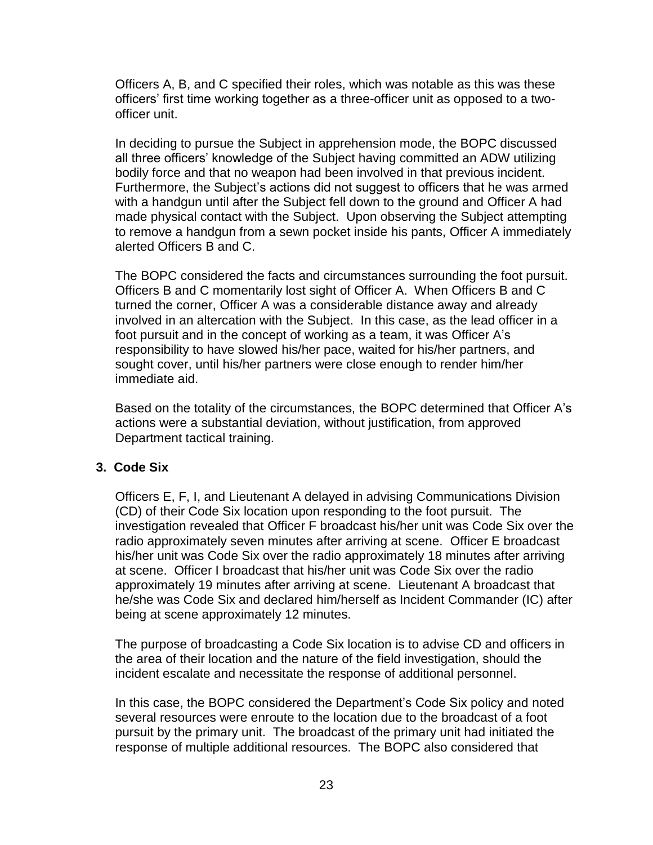Officers A, B, and C specified their roles, which was notable as this was these officers' first time working together as a three-officer unit as opposed to a twoofficer unit.

In deciding to pursue the Subject in apprehension mode, the BOPC discussed all three officers' knowledge of the Subject having committed an ADW utilizing bodily force and that no weapon had been involved in that previous incident. Furthermore, the Subject's actions did not suggest to officers that he was armed with a handgun until after the Subject fell down to the ground and Officer A had made physical contact with the Subject. Upon observing the Subject attempting to remove a handgun from a sewn pocket inside his pants, Officer A immediately alerted Officers B and C.

The BOPC considered the facts and circumstances surrounding the foot pursuit. Officers B and C momentarily lost sight of Officer A. When Officers B and C turned the corner, Officer A was a considerable distance away and already involved in an altercation with the Subject. In this case, as the lead officer in a foot pursuit and in the concept of working as a team, it was Officer A's responsibility to have slowed his/her pace, waited for his/her partners, and sought cover, until his/her partners were close enough to render him/her immediate aid.

Based on the totality of the circumstances, the BOPC determined that Officer A's actions were a substantial deviation, without justification, from approved Department tactical training.

## **3. Code Six**

Officers E, F, I, and Lieutenant A delayed in advising Communications Division (CD) of their Code Six location upon responding to the foot pursuit. The investigation revealed that Officer F broadcast his/her unit was Code Six over the radio approximately seven minutes after arriving at scene. Officer E broadcast his/her unit was Code Six over the radio approximately 18 minutes after arriving at scene. Officer I broadcast that his/her unit was Code Six over the radio approximately 19 minutes after arriving at scene. Lieutenant A broadcast that he/she was Code Six and declared him/herself as Incident Commander (IC) after being at scene approximately 12 minutes.

The purpose of broadcasting a Code Six location is to advise CD and officers in the area of their location and the nature of the field investigation, should the incident escalate and necessitate the response of additional personnel.

In this case, the BOPC considered the Department's Code Six policy and noted several resources were enroute to the location due to the broadcast of a foot pursuit by the primary unit. The broadcast of the primary unit had initiated the response of multiple additional resources. The BOPC also considered that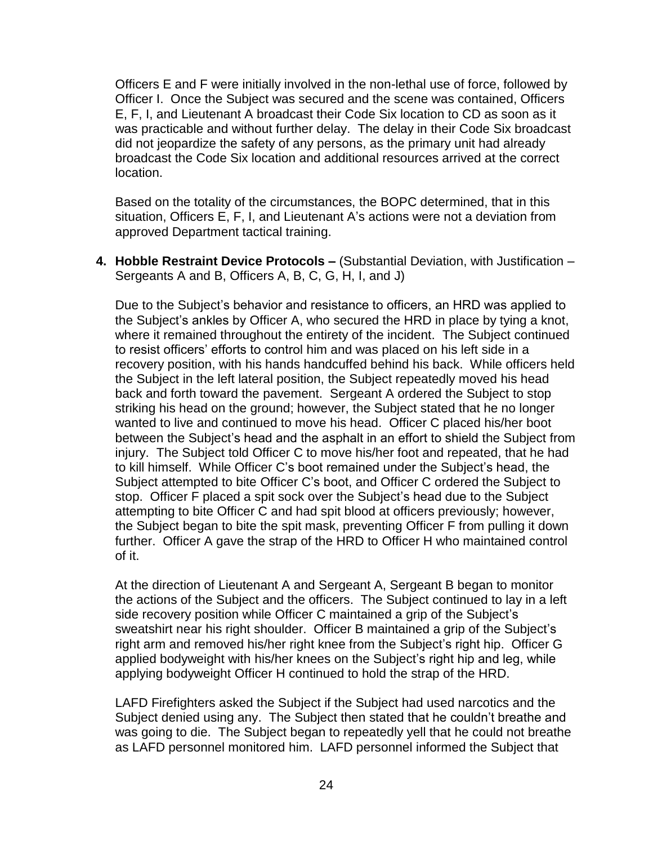Officers E and F were initially involved in the non-lethal use of force, followed by Officer I. Once the Subject was secured and the scene was contained, Officers E, F, I, and Lieutenant A broadcast their Code Six location to CD as soon as it was practicable and without further delay. The delay in their Code Six broadcast did not jeopardize the safety of any persons, as the primary unit had already broadcast the Code Six location and additional resources arrived at the correct location.

Based on the totality of the circumstances, the BOPC determined, that in this situation, Officers E, F, I, and Lieutenant A's actions were not a deviation from approved Department tactical training.

**4. Hobble Restraint Device Protocols –** (Substantial Deviation, with Justification – Sergeants A and B, Officers A, B, C, G, H, I, and J)

Due to the Subject's behavior and resistance to officers, an HRD was applied to the Subject's ankles by Officer A, who secured the HRD in place by tying a knot, where it remained throughout the entirety of the incident. The Subject continued to resist officers' efforts to control him and was placed on his left side in a recovery position, with his hands handcuffed behind his back. While officers held the Subject in the left lateral position, the Subject repeatedly moved his head back and forth toward the pavement. Sergeant A ordered the Subject to stop striking his head on the ground; however, the Subject stated that he no longer wanted to live and continued to move his head. Officer C placed his/her boot between the Subject's head and the asphalt in an effort to shield the Subject from injury. The Subject told Officer C to move his/her foot and repeated, that he had to kill himself. While Officer C's boot remained under the Subject's head, the Subject attempted to bite Officer C's boot, and Officer C ordered the Subject to stop. Officer F placed a spit sock over the Subject's head due to the Subject attempting to bite Officer C and had spit blood at officers previously; however, the Subject began to bite the spit mask, preventing Officer F from pulling it down further. Officer A gave the strap of the HRD to Officer H who maintained control of it.

At the direction of Lieutenant A and Sergeant A, Sergeant B began to monitor the actions of the Subject and the officers. The Subject continued to lay in a left side recovery position while Officer C maintained a grip of the Subject's sweatshirt near his right shoulder. Officer B maintained a grip of the Subject's right arm and removed his/her right knee from the Subject's right hip. Officer G applied bodyweight with his/her knees on the Subject's right hip and leg, while applying bodyweight Officer H continued to hold the strap of the HRD.

LAFD Firefighters asked the Subject if the Subject had used narcotics and the Subject denied using any. The Subject then stated that he couldn't breathe and was going to die. The Subject began to repeatedly yell that he could not breathe as LAFD personnel monitored him. LAFD personnel informed the Subject that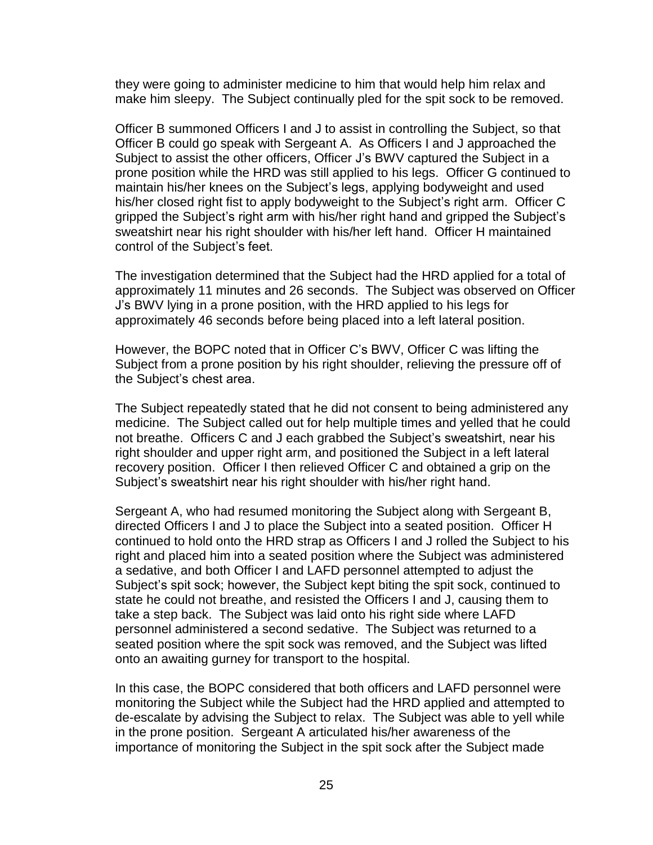they were going to administer medicine to him that would help him relax and make him sleepy. The Subject continually pled for the spit sock to be removed.

Officer B summoned Officers I and J to assist in controlling the Subject, so that Officer B could go speak with Sergeant A. As Officers I and J approached the Subject to assist the other officers, Officer J's BWV captured the Subject in a prone position while the HRD was still applied to his legs. Officer G continued to maintain his/her knees on the Subject's legs, applying bodyweight and used his/her closed right fist to apply bodyweight to the Subject's right arm. Officer C gripped the Subject's right arm with his/her right hand and gripped the Subject's sweatshirt near his right shoulder with his/her left hand. Officer H maintained control of the Subject's feet.

The investigation determined that the Subject had the HRD applied for a total of approximately 11 minutes and 26 seconds. The Subject was observed on Officer J's BWV lying in a prone position, with the HRD applied to his legs for approximately 46 seconds before being placed into a left lateral position.

However, the BOPC noted that in Officer C's BWV, Officer C was lifting the Subject from a prone position by his right shoulder, relieving the pressure off of the Subject's chest area.

The Subject repeatedly stated that he did not consent to being administered any medicine. The Subject called out for help multiple times and yelled that he could not breathe. Officers C and J each grabbed the Subject's sweatshirt, near his right shoulder and upper right arm, and positioned the Subject in a left lateral recovery position. Officer I then relieved Officer C and obtained a grip on the Subject's sweatshirt near his right shoulder with his/her right hand.

Sergeant A, who had resumed monitoring the Subject along with Sergeant B, directed Officers I and J to place the Subject into a seated position. Officer H continued to hold onto the HRD strap as Officers I and J rolled the Subject to his right and placed him into a seated position where the Subject was administered a sedative, and both Officer I and LAFD personnel attempted to adjust the Subject's spit sock; however, the Subject kept biting the spit sock, continued to state he could not breathe, and resisted the Officers I and J, causing them to take a step back. The Subject was laid onto his right side where LAFD personnel administered a second sedative. The Subject was returned to a seated position where the spit sock was removed, and the Subject was lifted onto an awaiting gurney for transport to the hospital.

In this case, the BOPC considered that both officers and LAFD personnel were monitoring the Subject while the Subject had the HRD applied and attempted to de-escalate by advising the Subject to relax. The Subject was able to yell while in the prone position. Sergeant A articulated his/her awareness of the importance of monitoring the Subject in the spit sock after the Subject made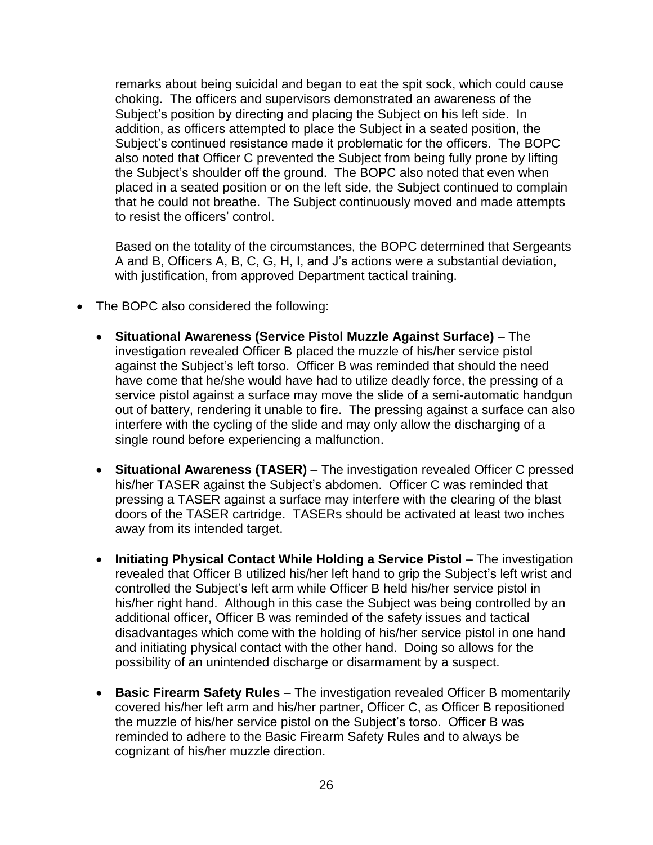remarks about being suicidal and began to eat the spit sock, which could cause choking. The officers and supervisors demonstrated an awareness of the Subject's position by directing and placing the Subject on his left side. In addition, as officers attempted to place the Subject in a seated position, the Subject's continued resistance made it problematic for the officers. The BOPC also noted that Officer C prevented the Subject from being fully prone by lifting the Subject's shoulder off the ground. The BOPC also noted that even when placed in a seated position or on the left side, the Subject continued to complain that he could not breathe. The Subject continuously moved and made attempts to resist the officers' control.

Based on the totality of the circumstances, the BOPC determined that Sergeants A and B, Officers A, B, C, G, H, I, and J's actions were a substantial deviation, with justification, from approved Department tactical training.

- The BOPC also considered the following:
	- **Situational Awareness (Service Pistol Muzzle Against Surface)** The investigation revealed Officer B placed the muzzle of his/her service pistol against the Subject's left torso. Officer B was reminded that should the need have come that he/she would have had to utilize deadly force, the pressing of a service pistol against a surface may move the slide of a semi-automatic handgun out of battery, rendering it unable to fire. The pressing against a surface can also interfere with the cycling of the slide and may only allow the discharging of a single round before experiencing a malfunction.
	- **Situational Awareness (TASER)** The investigation revealed Officer C pressed his/her TASER against the Subject's abdomen. Officer C was reminded that pressing a TASER against a surface may interfere with the clearing of the blast doors of the TASER cartridge. TASERs should be activated at least two inches away from its intended target.
	- **Initiating Physical Contact While Holding a Service Pistol** The investigation revealed that Officer B utilized his/her left hand to grip the Subject's left wrist and controlled the Subject's left arm while Officer B held his/her service pistol in his/her right hand. Although in this case the Subject was being controlled by an additional officer, Officer B was reminded of the safety issues and tactical disadvantages which come with the holding of his/her service pistol in one hand and initiating physical contact with the other hand. Doing so allows for the possibility of an unintended discharge or disarmament by a suspect.
	- **Basic Firearm Safety Rules** The investigation revealed Officer B momentarily covered his/her left arm and his/her partner, Officer C, as Officer B repositioned the muzzle of his/her service pistol on the Subject's torso. Officer B was reminded to adhere to the Basic Firearm Safety Rules and to always be cognizant of his/her muzzle direction.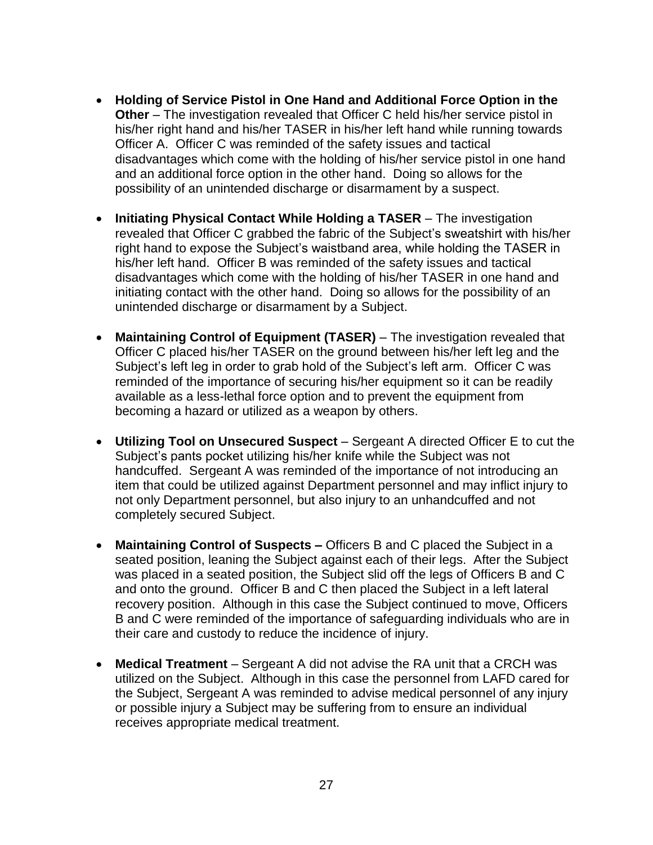- **Holding of Service Pistol in One Hand and Additional Force Option in the Other** – The investigation revealed that Officer C held his/her service pistol in his/her right hand and his/her TASER in his/her left hand while running towards Officer A. Officer C was reminded of the safety issues and tactical disadvantages which come with the holding of his/her service pistol in one hand and an additional force option in the other hand. Doing so allows for the possibility of an unintended discharge or disarmament by a suspect.
- **Initiating Physical Contact While Holding a TASER** The investigation revealed that Officer C grabbed the fabric of the Subject's sweatshirt with his/her right hand to expose the Subject's waistband area, while holding the TASER in his/her left hand. Officer B was reminded of the safety issues and tactical disadvantages which come with the holding of his/her TASER in one hand and initiating contact with the other hand. Doing so allows for the possibility of an unintended discharge or disarmament by a Subject.
- Maintaining Control of Equipment (TASER) The investigation revealed that Officer C placed his/her TASER on the ground between his/her left leg and the Subject's left leg in order to grab hold of the Subject's left arm. Officer C was reminded of the importance of securing his/her equipment so it can be readily available as a less-lethal force option and to prevent the equipment from becoming a hazard or utilized as a weapon by others.
- **Utilizing Tool on Unsecured Suspect** Sergeant A directed Officer E to cut the Subject's pants pocket utilizing his/her knife while the Subject was not handcuffed. Sergeant A was reminded of the importance of not introducing an item that could be utilized against Department personnel and may inflict injury to not only Department personnel, but also injury to an unhandcuffed and not completely secured Subject.
- **Maintaining Control of Suspects –** Officers B and C placed the Subject in a seated position, leaning the Subject against each of their legs. After the Subject was placed in a seated position, the Subject slid off the legs of Officers B and C and onto the ground. Officer B and C then placed the Subject in a left lateral recovery position. Although in this case the Subject continued to move, Officers B and C were reminded of the importance of safeguarding individuals who are in their care and custody to reduce the incidence of injury.
- **Medical Treatment** Sergeant A did not advise the RA unit that a CRCH was utilized on the Subject. Although in this case the personnel from LAFD cared for the Subject, Sergeant A was reminded to advise medical personnel of any injury or possible injury a Subject may be suffering from to ensure an individual receives appropriate medical treatment.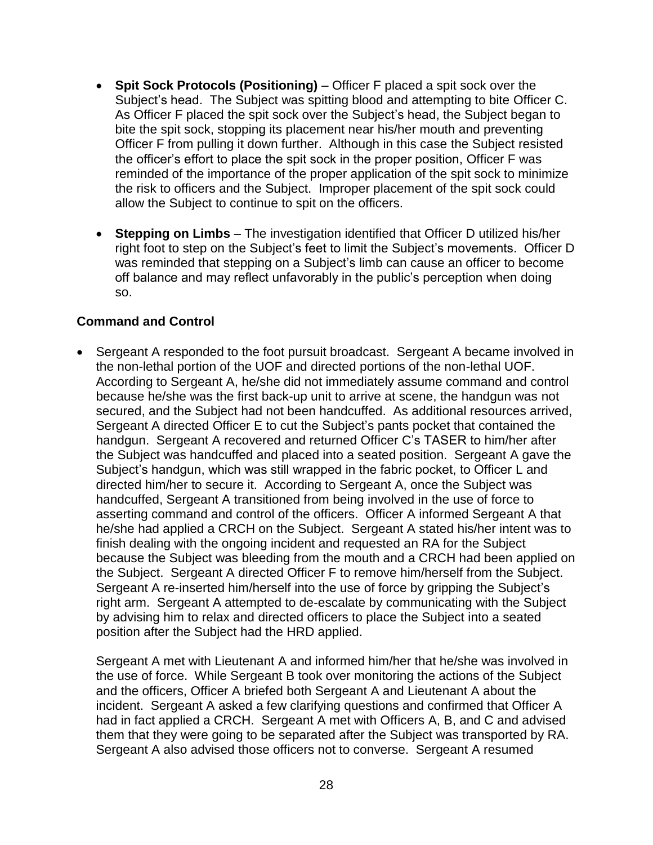- **Spit Sock Protocols (Positioning)** Officer F placed a spit sock over the Subject's head. The Subject was spitting blood and attempting to bite Officer C. As Officer F placed the spit sock over the Subject's head, the Subject began to bite the spit sock, stopping its placement near his/her mouth and preventing Officer F from pulling it down further. Although in this case the Subject resisted the officer's effort to place the spit sock in the proper position, Officer F was reminded of the importance of the proper application of the spit sock to minimize the risk to officers and the Subject. Improper placement of the spit sock could allow the Subject to continue to spit on the officers.
- **Stepping on Limbs** The investigation identified that Officer D utilized his/her right foot to step on the Subject's feet to limit the Subject's movements. Officer D was reminded that stepping on a Subject's limb can cause an officer to become off balance and may reflect unfavorably in the public's perception when doing so.

## **Command and Control**

• Sergeant A responded to the foot pursuit broadcast. Sergeant A became involved in the non-lethal portion of the UOF and directed portions of the non-lethal UOF. According to Sergeant A, he/she did not immediately assume command and control because he/she was the first back-up unit to arrive at scene, the handgun was not secured, and the Subject had not been handcuffed. As additional resources arrived, Sergeant A directed Officer E to cut the Subject's pants pocket that contained the handgun. Sergeant A recovered and returned Officer C's TASER to him/her after the Subject was handcuffed and placed into a seated position. Sergeant A gave the Subject's handgun, which was still wrapped in the fabric pocket, to Officer L and directed him/her to secure it. According to Sergeant A, once the Subject was handcuffed, Sergeant A transitioned from being involved in the use of force to asserting command and control of the officers. Officer A informed Sergeant A that he/she had applied a CRCH on the Subject. Sergeant A stated his/her intent was to finish dealing with the ongoing incident and requested an RA for the Subject because the Subject was bleeding from the mouth and a CRCH had been applied on the Subject. Sergeant A directed Officer F to remove him/herself from the Subject. Sergeant A re-inserted him/herself into the use of force by gripping the Subject's right arm. Sergeant A attempted to de-escalate by communicating with the Subject by advising him to relax and directed officers to place the Subject into a seated position after the Subject had the HRD applied.

Sergeant A met with Lieutenant A and informed him/her that he/she was involved in the use of force. While Sergeant B took over monitoring the actions of the Subject and the officers, Officer A briefed both Sergeant A and Lieutenant A about the incident. Sergeant A asked a few clarifying questions and confirmed that Officer A had in fact applied a CRCH. Sergeant A met with Officers A, B, and C and advised them that they were going to be separated after the Subject was transported by RA. Sergeant A also advised those officers not to converse. Sergeant A resumed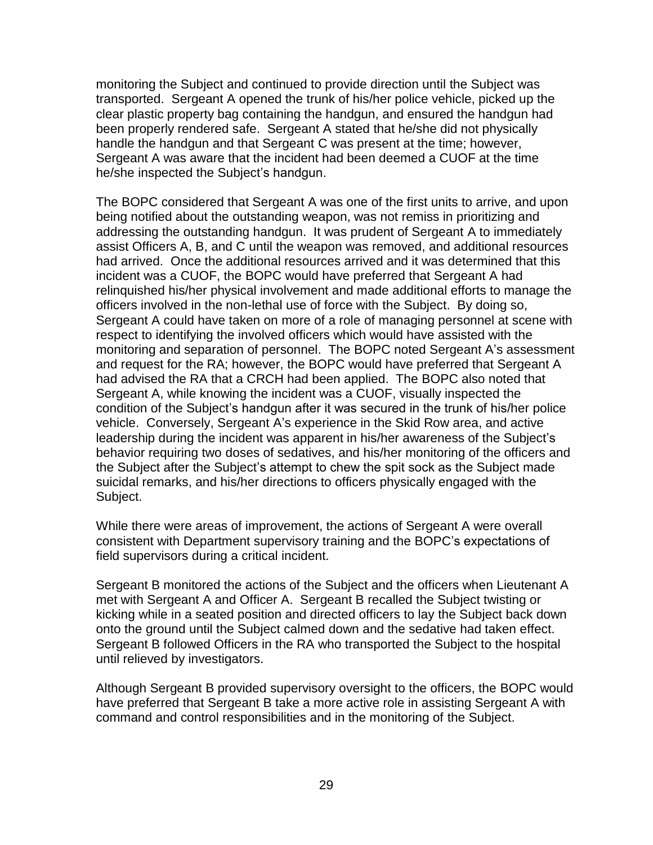monitoring the Subject and continued to provide direction until the Subject was transported. Sergeant A opened the trunk of his/her police vehicle, picked up the clear plastic property bag containing the handgun, and ensured the handgun had been properly rendered safe. Sergeant A stated that he/she did not physically handle the handgun and that Sergeant C was present at the time; however, Sergeant A was aware that the incident had been deemed a CUOF at the time he/she inspected the Subject's handgun.

The BOPC considered that Sergeant A was one of the first units to arrive, and upon being notified about the outstanding weapon, was not remiss in prioritizing and addressing the outstanding handgun. It was prudent of Sergeant A to immediately assist Officers A, B, and C until the weapon was removed, and additional resources had arrived. Once the additional resources arrived and it was determined that this incident was a CUOF, the BOPC would have preferred that Sergeant A had relinquished his/her physical involvement and made additional efforts to manage the officers involved in the non-lethal use of force with the Subject. By doing so, Sergeant A could have taken on more of a role of managing personnel at scene with respect to identifying the involved officers which would have assisted with the monitoring and separation of personnel. The BOPC noted Sergeant A's assessment and request for the RA; however, the BOPC would have preferred that Sergeant A had advised the RA that a CRCH had been applied. The BOPC also noted that Sergeant A, while knowing the incident was a CUOF, visually inspected the condition of the Subject's handgun after it was secured in the trunk of his/her police vehicle. Conversely, Sergeant A's experience in the Skid Row area, and active leadership during the incident was apparent in his/her awareness of the Subject's behavior requiring two doses of sedatives, and his/her monitoring of the officers and the Subject after the Subject's attempt to chew the spit sock as the Subject made suicidal remarks, and his/her directions to officers physically engaged with the Subject.

While there were areas of improvement, the actions of Sergeant A were overall consistent with Department supervisory training and the BOPC's expectations of field supervisors during a critical incident.

Sergeant B monitored the actions of the Subject and the officers when Lieutenant A met with Sergeant A and Officer A. Sergeant B recalled the Subject twisting or kicking while in a seated position and directed officers to lay the Subject back down onto the ground until the Subject calmed down and the sedative had taken effect. Sergeant B followed Officers in the RA who transported the Subject to the hospital until relieved by investigators.

Although Sergeant B provided supervisory oversight to the officers, the BOPC would have preferred that Sergeant B take a more active role in assisting Sergeant A with command and control responsibilities and in the monitoring of the Subject.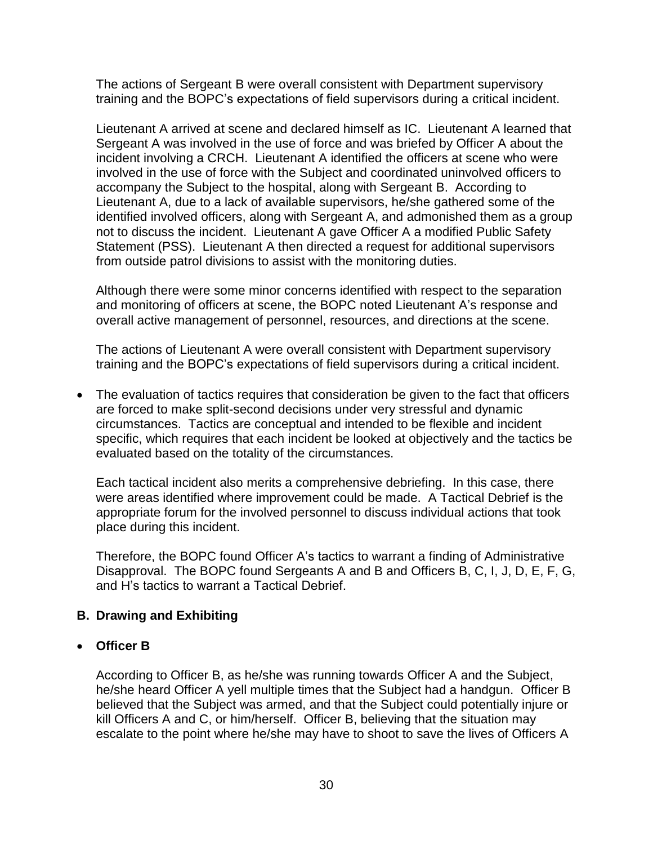The actions of Sergeant B were overall consistent with Department supervisory training and the BOPC's expectations of field supervisors during a critical incident.

Lieutenant A arrived at scene and declared himself as IC. Lieutenant A learned that Sergeant A was involved in the use of force and was briefed by Officer A about the incident involving a CRCH. Lieutenant A identified the officers at scene who were involved in the use of force with the Subject and coordinated uninvolved officers to accompany the Subject to the hospital, along with Sergeant B. According to Lieutenant A, due to a lack of available supervisors, he/she gathered some of the identified involved officers, along with Sergeant A, and admonished them as a group not to discuss the incident. Lieutenant A gave Officer A a modified Public Safety Statement (PSS). Lieutenant A then directed a request for additional supervisors from outside patrol divisions to assist with the monitoring duties.

Although there were some minor concerns identified with respect to the separation and monitoring of officers at scene, the BOPC noted Lieutenant A's response and overall active management of personnel, resources, and directions at the scene.

The actions of Lieutenant A were overall consistent with Department supervisory training and the BOPC's expectations of field supervisors during a critical incident.

• The evaluation of tactics requires that consideration be given to the fact that officers are forced to make split-second decisions under very stressful and dynamic circumstances. Tactics are conceptual and intended to be flexible and incident specific, which requires that each incident be looked at objectively and the tactics be evaluated based on the totality of the circumstances.

Each tactical incident also merits a comprehensive debriefing. In this case, there were areas identified where improvement could be made. A Tactical Debrief is the appropriate forum for the involved personnel to discuss individual actions that took place during this incident.

Therefore, the BOPC found Officer A's tactics to warrant a finding of Administrative Disapproval. The BOPC found Sergeants A and B and Officers B, C, I, J, D, E, F, G, and H's tactics to warrant a Tactical Debrief.

# **B. Drawing and Exhibiting**

## • **Officer B**

According to Officer B, as he/she was running towards Officer A and the Subject, he/she heard Officer A yell multiple times that the Subject had a handgun. Officer B believed that the Subject was armed, and that the Subject could potentially injure or kill Officers A and C, or him/herself. Officer B, believing that the situation may escalate to the point where he/she may have to shoot to save the lives of Officers A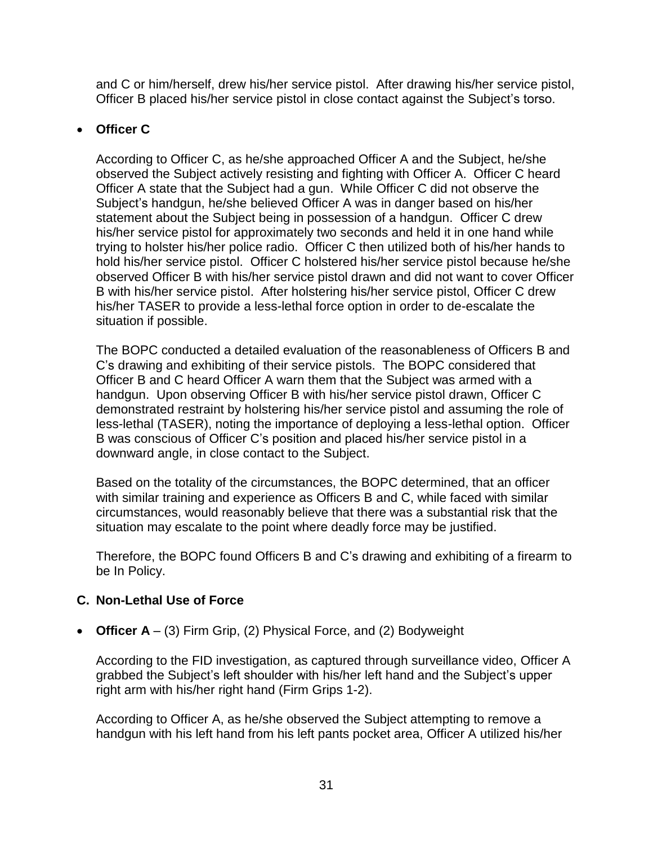and C or him/herself, drew his/her service pistol. After drawing his/her service pistol, Officer B placed his/her service pistol in close contact against the Subject's torso.

# • **Officer C**

According to Officer C, as he/she approached Officer A and the Subject, he/she observed the Subject actively resisting and fighting with Officer A. Officer C heard Officer A state that the Subject had a gun. While Officer C did not observe the Subject's handgun, he/she believed Officer A was in danger based on his/her statement about the Subject being in possession of a handgun. Officer C drew his/her service pistol for approximately two seconds and held it in one hand while trying to holster his/her police radio. Officer C then utilized both of his/her hands to hold his/her service pistol. Officer C holstered his/her service pistol because he/she observed Officer B with his/her service pistol drawn and did not want to cover Officer B with his/her service pistol. After holstering his/her service pistol, Officer C drew his/her TASER to provide a less-lethal force option in order to de-escalate the situation if possible.

The BOPC conducted a detailed evaluation of the reasonableness of Officers B and C's drawing and exhibiting of their service pistols. The BOPC considered that Officer B and C heard Officer A warn them that the Subject was armed with a handgun. Upon observing Officer B with his/her service pistol drawn, Officer C demonstrated restraint by holstering his/her service pistol and assuming the role of less-lethal (TASER), noting the importance of deploying a less-lethal option. Officer B was conscious of Officer C's position and placed his/her service pistol in a downward angle, in close contact to the Subject.

Based on the totality of the circumstances, the BOPC determined, that an officer with similar training and experience as Officers B and C, while faced with similar circumstances, would reasonably believe that there was a substantial risk that the situation may escalate to the point where deadly force may be justified.

Therefore, the BOPC found Officers B and C's drawing and exhibiting of a firearm to be In Policy.

# **C. Non-Lethal Use of Force**

• **Officer A** – (3) Firm Grip, (2) Physical Force, and (2) Bodyweight

According to the FID investigation, as captured through surveillance video, Officer A grabbed the Subject's left shoulder with his/her left hand and the Subject's upper right arm with his/her right hand (Firm Grips 1-2).

According to Officer A, as he/she observed the Subject attempting to remove a handgun with his left hand from his left pants pocket area, Officer A utilized his/her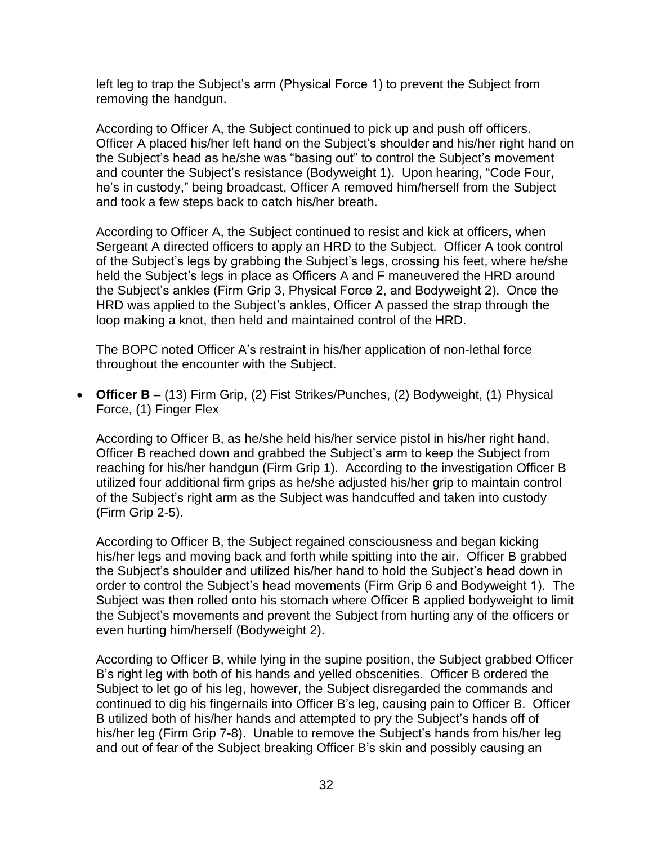left leg to trap the Subject's arm (Physical Force 1) to prevent the Subject from removing the handgun.

According to Officer A, the Subject continued to pick up and push off officers. Officer A placed his/her left hand on the Subject's shoulder and his/her right hand on the Subject's head as he/she was "basing out" to control the Subject's movement and counter the Subject's resistance (Bodyweight 1). Upon hearing, "Code Four, he's in custody," being broadcast, Officer A removed him/herself from the Subject and took a few steps back to catch his/her breath.

According to Officer A, the Subject continued to resist and kick at officers, when Sergeant A directed officers to apply an HRD to the Subject. Officer A took control of the Subject's legs by grabbing the Subject's legs, crossing his feet, where he/she held the Subject's legs in place as Officers A and F maneuvered the HRD around the Subject's ankles (Firm Grip 3, Physical Force 2, and Bodyweight 2). Once the HRD was applied to the Subject's ankles, Officer A passed the strap through the loop making a knot, then held and maintained control of the HRD.

The BOPC noted Officer A's restraint in his/her application of non-lethal force throughout the encounter with the Subject.

• **Officer B –** (13) Firm Grip, (2) Fist Strikes/Punches, (2) Bodyweight, (1) Physical Force, (1) Finger Flex

According to Officer B, as he/she held his/her service pistol in his/her right hand, Officer B reached down and grabbed the Subject's arm to keep the Subject from reaching for his/her handgun (Firm Grip 1). According to the investigation Officer B utilized four additional firm grips as he/she adjusted his/her grip to maintain control of the Subject's right arm as the Subject was handcuffed and taken into custody (Firm Grip 2-5).

According to Officer B, the Subject regained consciousness and began kicking his/her legs and moving back and forth while spitting into the air. Officer B grabbed the Subject's shoulder and utilized his/her hand to hold the Subject's head down in order to control the Subject's head movements (Firm Grip 6 and Bodyweight 1). The Subject was then rolled onto his stomach where Officer B applied bodyweight to limit the Subject's movements and prevent the Subject from hurting any of the officers or even hurting him/herself (Bodyweight 2).

According to Officer B, while lying in the supine position, the Subject grabbed Officer B's right leg with both of his hands and yelled obscenities. Officer B ordered the Subject to let go of his leg, however, the Subject disregarded the commands and continued to dig his fingernails into Officer B's leg, causing pain to Officer B. Officer B utilized both of his/her hands and attempted to pry the Subject's hands off of his/her leg (Firm Grip 7-8). Unable to remove the Subject's hands from his/her leg and out of fear of the Subject breaking Officer B's skin and possibly causing an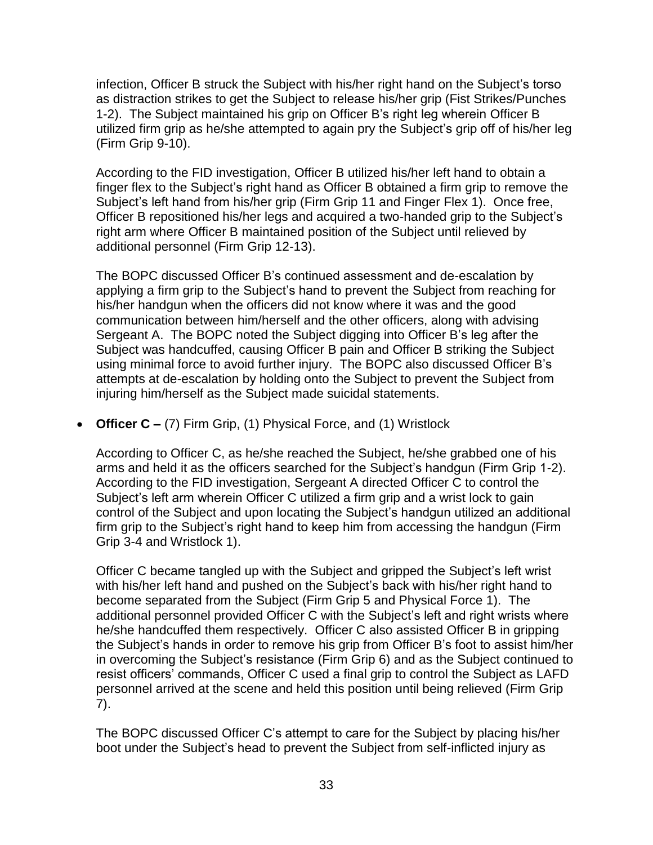infection, Officer B struck the Subject with his/her right hand on the Subject's torso as distraction strikes to get the Subject to release his/her grip (Fist Strikes/Punches 1-2). The Subject maintained his grip on Officer B's right leg wherein Officer B utilized firm grip as he/she attempted to again pry the Subject's grip off of his/her leg (Firm Grip 9-10).

According to the FID investigation, Officer B utilized his/her left hand to obtain a finger flex to the Subject's right hand as Officer B obtained a firm grip to remove the Subject's left hand from his/her grip (Firm Grip 11 and Finger Flex 1). Once free, Officer B repositioned his/her legs and acquired a two-handed grip to the Subject's right arm where Officer B maintained position of the Subject until relieved by additional personnel (Firm Grip 12-13).

The BOPC discussed Officer B's continued assessment and de-escalation by applying a firm grip to the Subject's hand to prevent the Subject from reaching for his/her handgun when the officers did not know where it was and the good communication between him/herself and the other officers, along with advising Sergeant A. The BOPC noted the Subject digging into Officer B's leg after the Subject was handcuffed, causing Officer B pain and Officer B striking the Subject using minimal force to avoid further injury. The BOPC also discussed Officer B's attempts at de-escalation by holding onto the Subject to prevent the Subject from injuring him/herself as the Subject made suicidal statements.

• **Officer C –** (7) Firm Grip, (1) Physical Force, and (1) Wristlock

According to Officer C, as he/she reached the Subject, he/she grabbed one of his arms and held it as the officers searched for the Subject's handgun (Firm Grip 1-2). According to the FID investigation, Sergeant A directed Officer C to control the Subject's left arm wherein Officer C utilized a firm grip and a wrist lock to gain control of the Subject and upon locating the Subject's handgun utilized an additional firm grip to the Subject's right hand to keep him from accessing the handgun (Firm Grip 3-4 and Wristlock 1).

Officer C became tangled up with the Subject and gripped the Subject's left wrist with his/her left hand and pushed on the Subject's back with his/her right hand to become separated from the Subject (Firm Grip 5 and Physical Force 1). The additional personnel provided Officer C with the Subject's left and right wrists where he/she handcuffed them respectively. Officer C also assisted Officer B in gripping the Subject's hands in order to remove his grip from Officer B's foot to assist him/her in overcoming the Subject's resistance (Firm Grip 6) and as the Subject continued to resist officers' commands, Officer C used a final grip to control the Subject as LAFD personnel arrived at the scene and held this position until being relieved (Firm Grip 7).

The BOPC discussed Officer C's attempt to care for the Subject by placing his/her boot under the Subject's head to prevent the Subject from self-inflicted injury as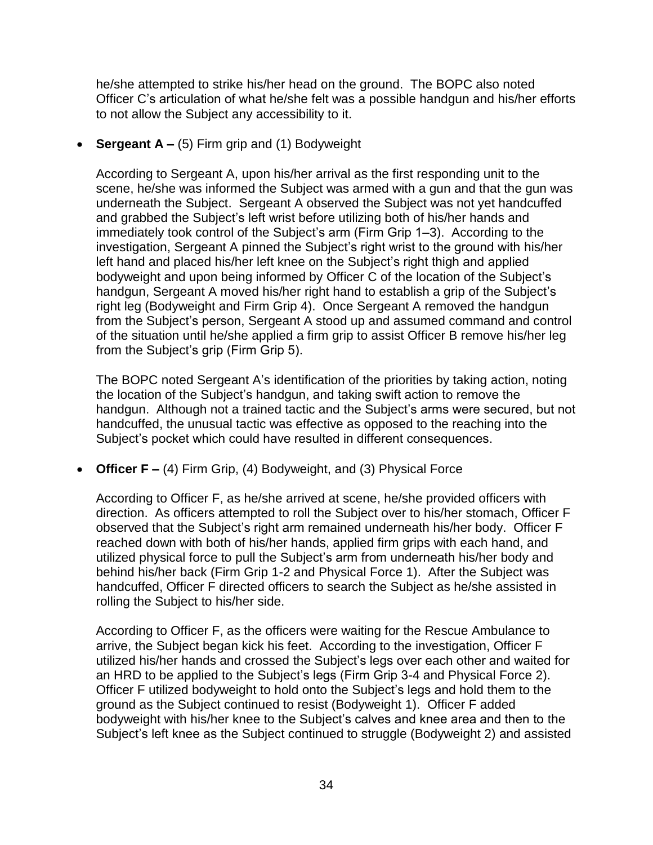he/she attempted to strike his/her head on the ground. The BOPC also noted Officer C's articulation of what he/she felt was a possible handgun and his/her efforts to not allow the Subject any accessibility to it.

• **Sergeant A –** (5) Firm grip and (1) Bodyweight

According to Sergeant A, upon his/her arrival as the first responding unit to the scene, he/she was informed the Subject was armed with a gun and that the gun was underneath the Subject. Sergeant A observed the Subject was not yet handcuffed and grabbed the Subject's left wrist before utilizing both of his/her hands and immediately took control of the Subject's arm (Firm Grip 1–3). According to the investigation, Sergeant A pinned the Subject's right wrist to the ground with his/her left hand and placed his/her left knee on the Subject's right thigh and applied bodyweight and upon being informed by Officer C of the location of the Subject's handgun, Sergeant A moved his/her right hand to establish a grip of the Subject's right leg (Bodyweight and Firm Grip 4). Once Sergeant A removed the handgun from the Subject's person, Sergeant A stood up and assumed command and control of the situation until he/she applied a firm grip to assist Officer B remove his/her leg from the Subject's grip (Firm Grip 5).

The BOPC noted Sergeant A's identification of the priorities by taking action, noting the location of the Subject's handgun, and taking swift action to remove the handgun. Although not a trained tactic and the Subject's arms were secured, but not handcuffed, the unusual tactic was effective as opposed to the reaching into the Subject's pocket which could have resulted in different consequences.

• **Officer F –** (4) Firm Grip, (4) Bodyweight, and (3) Physical Force

According to Officer F, as he/she arrived at scene, he/she provided officers with direction. As officers attempted to roll the Subject over to his/her stomach, Officer F observed that the Subject's right arm remained underneath his/her body. Officer F reached down with both of his/her hands, applied firm grips with each hand, and utilized physical force to pull the Subject's arm from underneath his/her body and behind his/her back (Firm Grip 1-2 and Physical Force 1). After the Subject was handcuffed, Officer F directed officers to search the Subject as he/she assisted in rolling the Subject to his/her side.

According to Officer F, as the officers were waiting for the Rescue Ambulance to arrive, the Subject began kick his feet. According to the investigation, Officer F utilized his/her hands and crossed the Subject's legs over each other and waited for an HRD to be applied to the Subject's legs (Firm Grip 3-4 and Physical Force 2). Officer F utilized bodyweight to hold onto the Subject's legs and hold them to the ground as the Subject continued to resist (Bodyweight 1). Officer F added bodyweight with his/her knee to the Subject's calves and knee area and then to the Subject's left knee as the Subject continued to struggle (Bodyweight 2) and assisted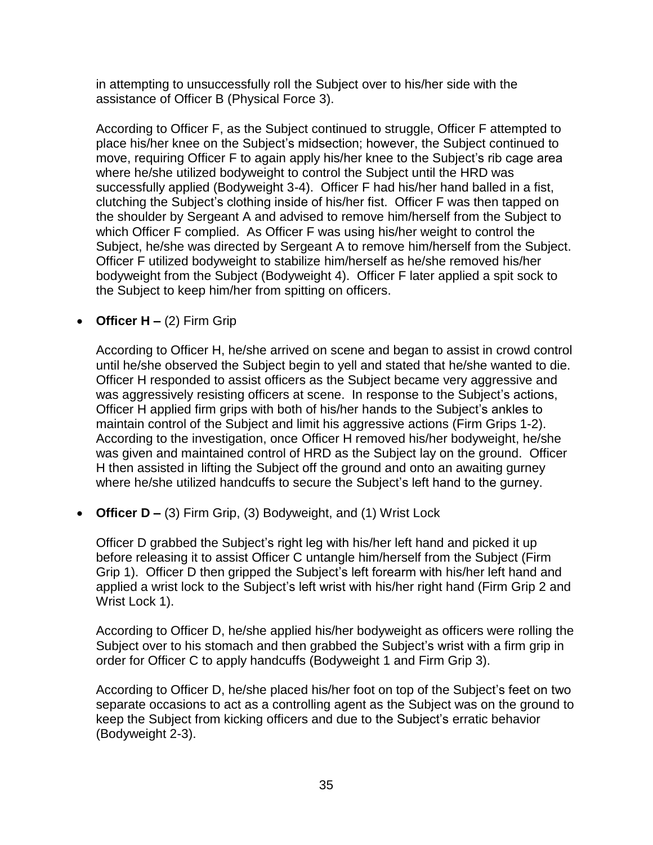in attempting to unsuccessfully roll the Subject over to his/her side with the assistance of Officer B (Physical Force 3).

According to Officer F, as the Subject continued to struggle, Officer F attempted to place his/her knee on the Subject's midsection; however, the Subject continued to move, requiring Officer F to again apply his/her knee to the Subject's rib cage area where he/she utilized bodyweight to control the Subject until the HRD was successfully applied (Bodyweight 3-4). Officer F had his/her hand balled in a fist, clutching the Subject's clothing inside of his/her fist. Officer F was then tapped on the shoulder by Sergeant A and advised to remove him/herself from the Subject to which Officer F complied. As Officer F was using his/her weight to control the Subject, he/she was directed by Sergeant A to remove him/herself from the Subject. Officer F utilized bodyweight to stabilize him/herself as he/she removed his/her bodyweight from the Subject (Bodyweight 4). Officer F later applied a spit sock to the Subject to keep him/her from spitting on officers.

• **Officer H –** (2) Firm Grip

According to Officer H, he/she arrived on scene and began to assist in crowd control until he/she observed the Subject begin to yell and stated that he/she wanted to die. Officer H responded to assist officers as the Subject became very aggressive and was aggressively resisting officers at scene. In response to the Subject's actions, Officer H applied firm grips with both of his/her hands to the Subject's ankles to maintain control of the Subject and limit his aggressive actions (Firm Grips 1-2). According to the investigation, once Officer H removed his/her bodyweight, he/she was given and maintained control of HRD as the Subject lay on the ground. Officer H then assisted in lifting the Subject off the ground and onto an awaiting gurney where he/she utilized handcuffs to secure the Subject's left hand to the gurney.

• **Officer D –** (3) Firm Grip, (3) Bodyweight, and (1) Wrist Lock

Officer D grabbed the Subject's right leg with his/her left hand and picked it up before releasing it to assist Officer C untangle him/herself from the Subject (Firm Grip 1). Officer D then gripped the Subject's left forearm with his/her left hand and applied a wrist lock to the Subject's left wrist with his/her right hand (Firm Grip 2 and Wrist Lock 1).

According to Officer D, he/she applied his/her bodyweight as officers were rolling the Subject over to his stomach and then grabbed the Subject's wrist with a firm grip in order for Officer C to apply handcuffs (Bodyweight 1 and Firm Grip 3).

According to Officer D, he/she placed his/her foot on top of the Subject's feet on two separate occasions to act as a controlling agent as the Subject was on the ground to keep the Subject from kicking officers and due to the Subject's erratic behavior (Bodyweight 2-3).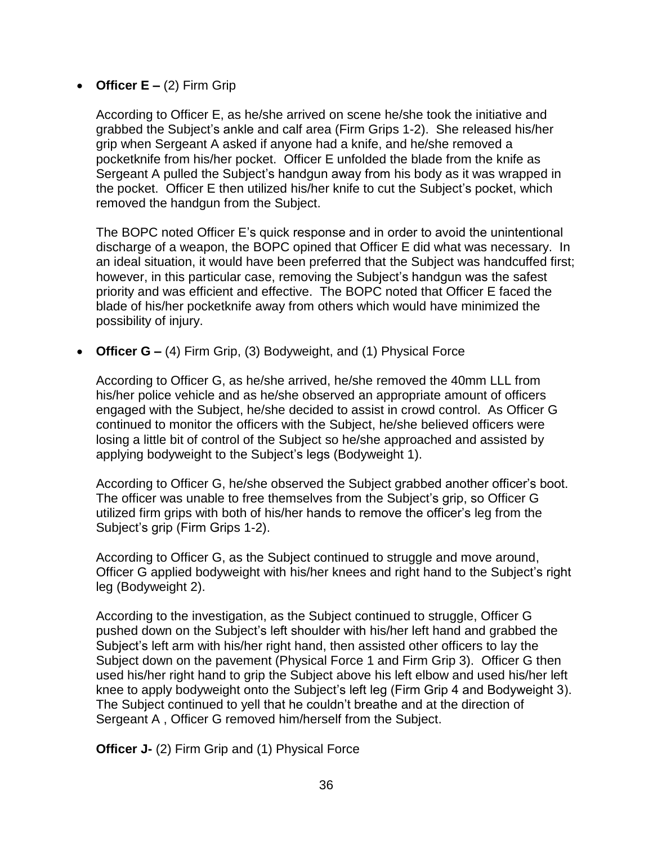## • **Officer E –** (2) Firm Grip

According to Officer E, as he/she arrived on scene he/she took the initiative and grabbed the Subject's ankle and calf area (Firm Grips 1-2). She released his/her grip when Sergeant A asked if anyone had a knife, and he/she removed a pocketknife from his/her pocket. Officer E unfolded the blade from the knife as Sergeant A pulled the Subject's handgun away from his body as it was wrapped in the pocket. Officer E then utilized his/her knife to cut the Subject's pocket, which removed the handgun from the Subject.

The BOPC noted Officer E's quick response and in order to avoid the unintentional discharge of a weapon, the BOPC opined that Officer E did what was necessary. In an ideal situation, it would have been preferred that the Subject was handcuffed first; however, in this particular case, removing the Subject's handgun was the safest priority and was efficient and effective. The BOPC noted that Officer E faced the blade of his/her pocketknife away from others which would have minimized the possibility of injury.

• **Officer G –** (4) Firm Grip, (3) Bodyweight, and (1) Physical Force

According to Officer G, as he/she arrived, he/she removed the 40mm LLL from his/her police vehicle and as he/she observed an appropriate amount of officers engaged with the Subject, he/she decided to assist in crowd control. As Officer G continued to monitor the officers with the Subject, he/she believed officers were losing a little bit of control of the Subject so he/she approached and assisted by applying bodyweight to the Subject's legs (Bodyweight 1).

According to Officer G, he/she observed the Subject grabbed another officer's boot. The officer was unable to free themselves from the Subject's grip, so Officer G utilized firm grips with both of his/her hands to remove the officer's leg from the Subject's grip (Firm Grips 1-2).

According to Officer G, as the Subject continued to struggle and move around, Officer G applied bodyweight with his/her knees and right hand to the Subject's right leg (Bodyweight 2).

According to the investigation, as the Subject continued to struggle, Officer G pushed down on the Subject's left shoulder with his/her left hand and grabbed the Subject's left arm with his/her right hand, then assisted other officers to lay the Subject down on the pavement (Physical Force 1 and Firm Grip 3). Officer G then used his/her right hand to grip the Subject above his left elbow and used his/her left knee to apply bodyweight onto the Subject's left leg (Firm Grip 4 and Bodyweight 3). The Subject continued to yell that he couldn't breathe and at the direction of Sergeant A , Officer G removed him/herself from the Subject.

**Officer J-** (2) Firm Grip and (1) Physical Force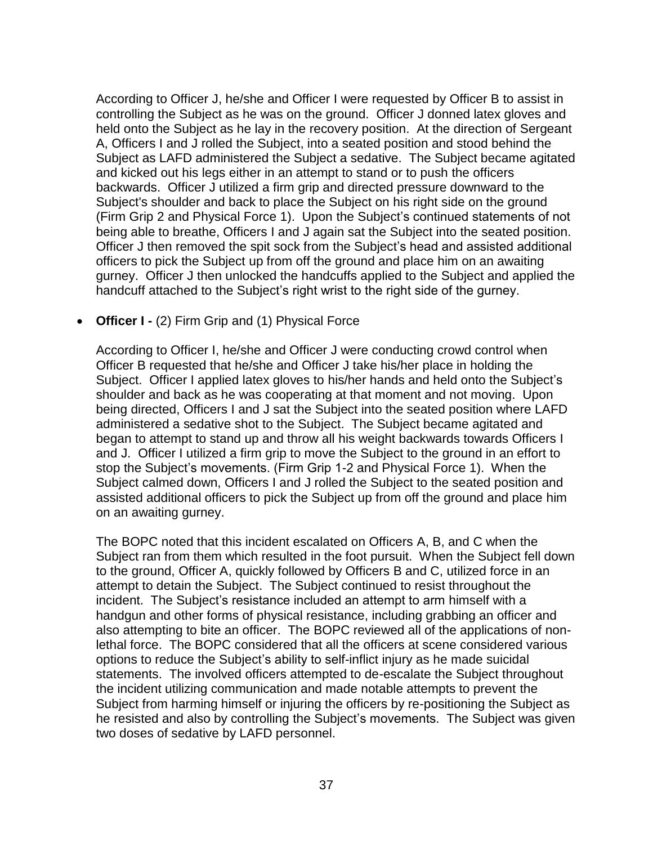According to Officer J, he/she and Officer I were requested by Officer B to assist in controlling the Subject as he was on the ground. Officer J donned latex gloves and held onto the Subject as he lay in the recovery position. At the direction of Sergeant A, Officers I and J rolled the Subject, into a seated position and stood behind the Subject as LAFD administered the Subject a sedative. The Subject became agitated and kicked out his legs either in an attempt to stand or to push the officers backwards. Officer J utilized a firm grip and directed pressure downward to the Subject's shoulder and back to place the Subject on his right side on the ground (Firm Grip 2 and Physical Force 1). Upon the Subject's continued statements of not being able to breathe, Officers I and J again sat the Subject into the seated position. Officer J then removed the spit sock from the Subject's head and assisted additional officers to pick the Subject up from off the ground and place him on an awaiting gurney. Officer J then unlocked the handcuffs applied to the Subject and applied the handcuff attached to the Subject's right wrist to the right side of the gurney.

• **Officer I -** (2) Firm Grip and (1) Physical Force

According to Officer I, he/she and Officer J were conducting crowd control when Officer B requested that he/she and Officer J take his/her place in holding the Subject. Officer I applied latex gloves to his/her hands and held onto the Subject's shoulder and back as he was cooperating at that moment and not moving. Upon being directed, Officers I and J sat the Subject into the seated position where LAFD administered a sedative shot to the Subject. The Subject became agitated and began to attempt to stand up and throw all his weight backwards towards Officers I and J. Officer I utilized a firm grip to move the Subject to the ground in an effort to stop the Subject's movements. (Firm Grip 1-2 and Physical Force 1). When the Subject calmed down, Officers I and J rolled the Subject to the seated position and assisted additional officers to pick the Subject up from off the ground and place him on an awaiting gurney.

The BOPC noted that this incident escalated on Officers A, B, and C when the Subject ran from them which resulted in the foot pursuit. When the Subject fell down to the ground, Officer A, quickly followed by Officers B and C, utilized force in an attempt to detain the Subject. The Subject continued to resist throughout the incident. The Subject's resistance included an attempt to arm himself with a handgun and other forms of physical resistance, including grabbing an officer and also attempting to bite an officer. The BOPC reviewed all of the applications of nonlethal force. The BOPC considered that all the officers at scene considered various options to reduce the Subject's ability to self-inflict injury as he made suicidal statements. The involved officers attempted to de-escalate the Subject throughout the incident utilizing communication and made notable attempts to prevent the Subject from harming himself or injuring the officers by re-positioning the Subject as he resisted and also by controlling the Subject's movements. The Subject was given two doses of sedative by LAFD personnel.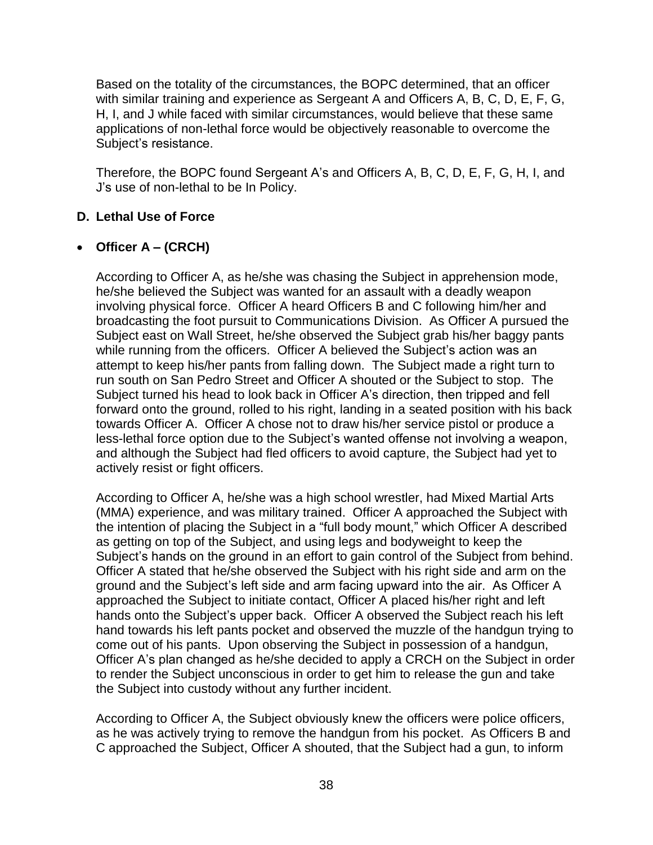Based on the totality of the circumstances, the BOPC determined, that an officer with similar training and experience as Sergeant A and Officers A, B, C, D, E, F, G, H, I, and J while faced with similar circumstances, would believe that these same applications of non-lethal force would be objectively reasonable to overcome the Subject's resistance.

Therefore, the BOPC found Sergeant A's and Officers A, B, C, D, E, F, G, H, I, and J's use of non-lethal to be In Policy.

# **D. Lethal Use of Force**

# • **Officer A – (CRCH)**

According to Officer A, as he/she was chasing the Subject in apprehension mode, he/she believed the Subject was wanted for an assault with a deadly weapon involving physical force. Officer A heard Officers B and C following him/her and broadcasting the foot pursuit to Communications Division. As Officer A pursued the Subject east on Wall Street, he/she observed the Subject grab his/her baggy pants while running from the officers. Officer A believed the Subject's action was an attempt to keep his/her pants from falling down. The Subject made a right turn to run south on San Pedro Street and Officer A shouted or the Subject to stop. The Subject turned his head to look back in Officer A's direction, then tripped and fell forward onto the ground, rolled to his right, landing in a seated position with his back towards Officer A. Officer A chose not to draw his/her service pistol or produce a less-lethal force option due to the Subject's wanted offense not involving a weapon, and although the Subject had fled officers to avoid capture, the Subject had yet to actively resist or fight officers.

According to Officer A, he/she was a high school wrestler, had Mixed Martial Arts (MMA) experience, and was military trained. Officer A approached the Subject with the intention of placing the Subject in a "full body mount," which Officer A described as getting on top of the Subject, and using legs and bodyweight to keep the Subject's hands on the ground in an effort to gain control of the Subject from behind. Officer A stated that he/she observed the Subject with his right side and arm on the ground and the Subject's left side and arm facing upward into the air. As Officer A approached the Subject to initiate contact, Officer A placed his/her right and left hands onto the Subject's upper back. Officer A observed the Subject reach his left hand towards his left pants pocket and observed the muzzle of the handgun trying to come out of his pants. Upon observing the Subject in possession of a handgun, Officer A's plan changed as he/she decided to apply a CRCH on the Subject in order to render the Subject unconscious in order to get him to release the gun and take the Subject into custody without any further incident.

According to Officer A, the Subject obviously knew the officers were police officers, as he was actively trying to remove the handgun from his pocket. As Officers B and C approached the Subject, Officer A shouted, that the Subject had a gun, to inform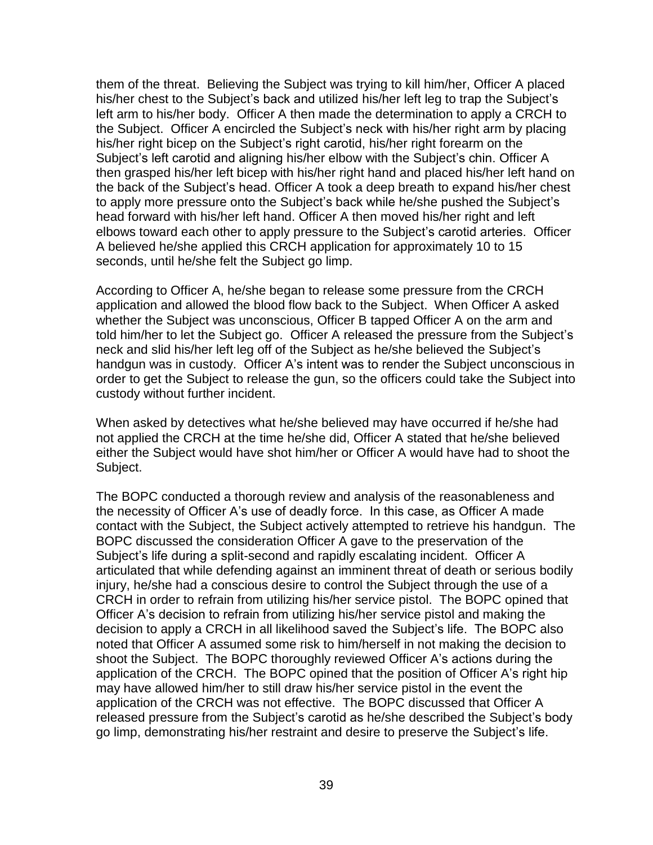them of the threat. Believing the Subject was trying to kill him/her, Officer A placed his/her chest to the Subject's back and utilized his/her left leg to trap the Subject's left arm to his/her body. Officer A then made the determination to apply a CRCH to the Subject. Officer A encircled the Subject's neck with his/her right arm by placing his/her right bicep on the Subject's right carotid, his/her right forearm on the Subject's left carotid and aligning his/her elbow with the Subject's chin. Officer A then grasped his/her left bicep with his/her right hand and placed his/her left hand on the back of the Subject's head. Officer A took a deep breath to expand his/her chest to apply more pressure onto the Subject's back while he/she pushed the Subject's head forward with his/her left hand. Officer A then moved his/her right and left elbows toward each other to apply pressure to the Subject's carotid arteries. Officer A believed he/she applied this CRCH application for approximately 10 to 15 seconds, until he/she felt the Subject go limp.

According to Officer A, he/she began to release some pressure from the CRCH application and allowed the blood flow back to the Subject. When Officer A asked whether the Subject was unconscious, Officer B tapped Officer A on the arm and told him/her to let the Subject go. Officer A released the pressure from the Subject's neck and slid his/her left leg off of the Subject as he/she believed the Subject's handgun was in custody. Officer A's intent was to render the Subject unconscious in order to get the Subject to release the gun, so the officers could take the Subject into custody without further incident.

When asked by detectives what he/she believed may have occurred if he/she had not applied the CRCH at the time he/she did, Officer A stated that he/she believed either the Subject would have shot him/her or Officer A would have had to shoot the Subject.

The BOPC conducted a thorough review and analysis of the reasonableness and the necessity of Officer A's use of deadly force. In this case, as Officer A made contact with the Subject, the Subject actively attempted to retrieve his handgun. The BOPC discussed the consideration Officer A gave to the preservation of the Subject's life during a split-second and rapidly escalating incident. Officer A articulated that while defending against an imminent threat of death or serious bodily injury, he/she had a conscious desire to control the Subject through the use of a CRCH in order to refrain from utilizing his/her service pistol. The BOPC opined that Officer A's decision to refrain from utilizing his/her service pistol and making the decision to apply a CRCH in all likelihood saved the Subject's life. The BOPC also noted that Officer A assumed some risk to him/herself in not making the decision to shoot the Subject. The BOPC thoroughly reviewed Officer A's actions during the application of the CRCH. The BOPC opined that the position of Officer A's right hip may have allowed him/her to still draw his/her service pistol in the event the application of the CRCH was not effective. The BOPC discussed that Officer A released pressure from the Subject's carotid as he/she described the Subject's body go limp, demonstrating his/her restraint and desire to preserve the Subject's life.